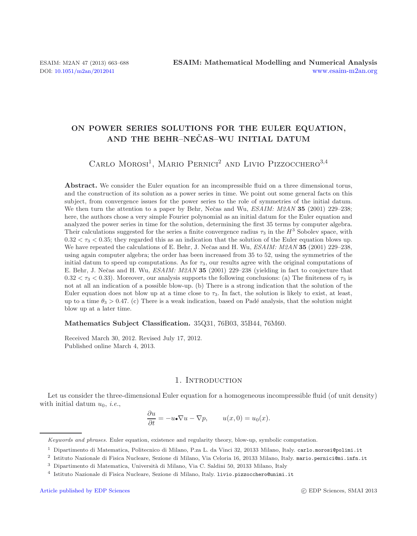# **ON POWER SERIES SOLUTIONS FOR THE EULER EQUATION, AND THE BEHR–NECAS–WU INITIAL DATUM ˇ**

# CARLO MOROSI<sup>1</sup>, MARIO PERNICI<sup>2</sup> AND LIVIO PIZZOCCHERO<sup>3,4</sup>

Abstract. We consider the Euler equation for an incompressible fluid on a three dimensional torus, and the construction of its solution as a power series in time. We point out some general facts on this subject, from convergence issues for the power series to the role of symmetries of the initial datum. We then turn the attention to a paper by Behr, Nečas and Wu, *ESAIM: M2AN* **35** (2001) 229–238; here, the authors chose a very simple Fourier polynomial as an initial datum for the Euler equation and analyzed the power series in time for the solution, determining the first 35 terms by computer algebra. Their calculations suggested for the series a finite convergence radius  $\tau_3$  in the  $H^3$  Sobolev space, with  $0.32 < \tau_3 < 0.35$ ; they regarded this as an indication that the solution of the Euler equation blows up. We have repeated the calculations of E. Behr, J. Nečas and H. Wu, *ESAIM: M2AN* 35 (2001) 229–238, using again computer algebra; the order has been increased from 35 to 52, using the symmetries of the initial datum to speed up computations. As for  $\tau_3$ , our results agree with the original computations of E. Behr, J. Nečas and H. Wu, *ESAIM: M2AN* 35 (2001) 229–238 (yielding in fact to conjecture that  $0.32 < \tau_3 < 0.33$ ). Moreover, our analysis supports the following conclusions: (a) The finiteness of  $\tau_3$  is not at all an indication of a possible blow-up. (b) There is a strong indication that the solution of the Euler equation does not blow up at a time close to  $\tau_3$ . In fact, the solution is likely to exist, at least, up to a time  $\theta_3 > 0.47$ . (c) There is a weak indication, based on Padé analysis, that the solution might blow up at a later time.

### **Mathematics Subject Classification.** 35Q31, 76B03, 35B44, 76M60.

Received March 30, 2012. Revised July 17, 2012. Published online March 4, 2013.

## 1. INTRODUCTION

Let us consider the three-dimensional Euler equation for a homogeneous incompressible fluid (of unit density) with initial datum  $u_0$ , *i.e.*,

$$
\frac{\partial u}{\partial t} = -u \cdot \nabla u - \nabla p, \qquad u(x,0) = u_0(x).
$$

Keywords and phrases. Euler equation, existence and regularity theory, blow-up, symbolic computation.

<sup>1</sup> Dipartimento di Matematica, Politecnico di Milano, P.za L. da Vinci 32, 20133 Milano, Italy. carlo.morosi@polimi.it

<sup>2</sup> Istituto Nazionale di Fisica Nucleare, Sezione di Milano, Via Celoria 16, 20133 Milano, Italy. mario.pernici@mi.infn.it

<sup>&</sup>lt;sup>3</sup> Dipartimento di Matematica, Università di Milano, Via C. Saldini 50, 20133 Milano, Italy

<sup>4</sup> Istituto Nazionale di Fisica Nucleare, Sezione di Milano, Italy. livio.pizzocchero@unimi.it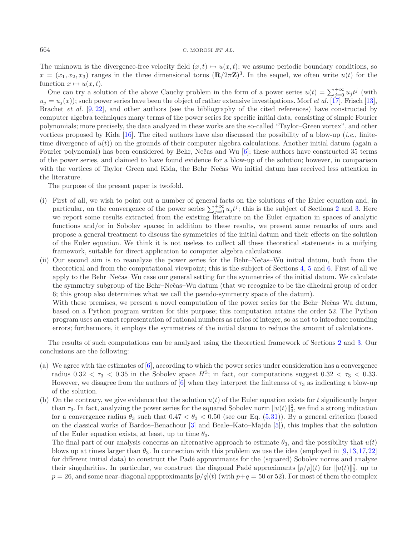The unknown is the divergence-free velocity field  $(x, t) \mapsto u(x, t)$ ; we assume periodic boundary conditions, so  $x = (x_1, x_2, x_3)$  ranges in the three dimensional torus  $(\mathbf{R}/2\pi\mathbf{Z})^3$ . In the sequel, we often write  $u(t)$  for the function  $x \mapsto u(x, t)$ .

One can try a solution of the above Cauchy problem in the form of a power series  $u(t) = \sum_{j=0}^{+\infty} u_j t^j$  (with  $u_j = u_j(x)$ ; such power series have been the object of rather extensive investigations. Morf *et al.* [\[17](#page-25-0)], Frisch [\[13](#page-25-1)], Brachet *et al.* [\[9](#page-25-2), [22](#page-25-3)], and other authors (see the bibliography of the cited references) have constructed by computer algebra techniques many terms of the power series for specific initial data, consisting of simple Fourier polynomials; more precisely, the data analyzed in these works are the so-called "Taylor–Green vortex", and other vortices proposed by Kida [\[16\]](#page-25-4). The cited authors have also discussed the possibility of a blow-up (*i.e.*, finitetime divergence of  $u(t)$ ) on the grounds of their computer algebra calculations. Another initial datum (again a Fourier polynomial) has been considered by Behr, Nečas and Wu [\[6\]](#page-25-5); these authors have constructed 35 terms of the power series, and claimed to have found evidence for a blow-up of the solution; however, in comparison with the vortices of Taylor–Green and Kida, the Behr–Nečas–Wu initial datum has received less attention in the literature.

The purpose of the present paper is twofold.

- (i) First of all, we wish to point out a number of general facts on the solutions of the Euler equation and, in particular, on the convergence of the power series  $\sum_{j=0}^{+\infty} u_j t^j$ ; this is the subject of Sections [2](#page-2-0) and [3.](#page-8-0) Here we report some results extracted from the existing literature on the Euler equation in spaces of analytic functions and/or in Sobolev spaces; in addition to these results, we present some remarks of ours and propose a general treatment to discuss the symmetries of the initial datum and their effects on the solution of the Euler equation. We think it is not useless to collect all these theoretical statements in a unifying framework, suitable for direct application to computer algebra calculations.
- (ii) Our second aim is to reanalyze the power series for the Behr–Nečas–Wu initial datum, both from the theoretical and from the computational viewpoint; this is the subject of Sections [4,](#page-11-0) [5](#page-12-0) and [6.](#page-21-0) First of all we apply to the Behr–Nečas–Wu case our general setting for the symmetries of the initial datum. We calculate the symmetry subgroup of the Behr–Nečas–Wu datum (that we recognize to be the dihedral group of order 6; this group also determines what we call the pseudo-symmetry space of the datum).

With these premises, we present a novel computation of the power series for the Behr–Nečas–Wu datum, based on a Python program written for this purpose; this computation attains the order 52. The Python program uses an exact representation of rational numbers as ratios of integer, so as not to introduce rounding errors; furthermore, it employs the symmetries of the initial datum to reduce the amount of calculations.

The results of such computations can be analyzed using the theoretical framework of Sections [2](#page-2-0) and [3.](#page-8-0) Our conclusions are the following:

- (a) We agree with the estimates of [\[6\]](#page-25-5), according to which the power series under consideration has a convergence radius  $0.32 < \tau_3 < 0.35$  in the Sobolev space  $H^3$ ; in fact, our computations suggest  $0.32 < \tau_3 < 0.33$ . However, we disagree from the authors of [\[6](#page-25-5)] when they interpret the finiteness of  $\tau_3$  as indicating a blow-up of the solution.
- (b) On the contrary, we give evidence that the solution  $u(t)$  of the Euler equation exists for t significantly larger than  $\tau_3$ . In fact, analyzing the power series for the squared Sobolev norm  $||u(t)||_3^2$ , we find a strong indication for a convergence radius  $\theta_3$  such that  $0.47 < \theta_3 < 0.50$  (see our Eq. [\(5.31\)](#page-20-0)). By a general criterion (based on the classical works of Bardos–Benachour [\[3](#page-25-6)] and Beale–Kato–Majda [\[5](#page-25-7)]), this implies that the solution of the Euler equation exists, at least, up to time  $\theta_3$ .

The final part of our analysis concerns an alternative approach to estimate  $\theta_3$ , and the possibility that  $u(t)$ blows up at times larger than  $\theta_3$ . In connection with this problem we use the idea (employed in [\[9,](#page-25-2)[13,](#page-25-1)[17](#page-25-0),[22\]](#page-25-3) for different initial data) to construct the Padé approximants for the (squared) Sobolev norms and analyze their singularities. In particular, we construct the diagonal Padé approximants  $[p/p](t)$  for  $||u(t)||_3^2$ , up to  $p = 26$ , and some near-diagonal appproximants  $[p/q](t)$  (with  $p+q = 50$  or 52). For most of them the complex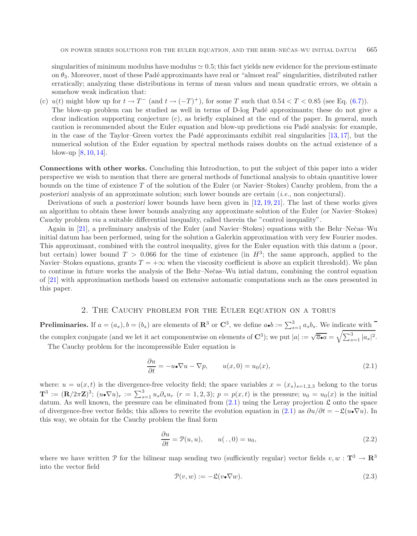singularities of minimum modulus have modulus  $\approx 0.5$ ; this fact yields new evidence for the previous estimate on  $\theta_3$ . Moreover, most of these Padé approximants have real or "almost real" singularities, distributed rather erratically; analyzing these distributions in terms of mean values and mean quadratic errors, we obtain a somehow weak indication that:

(c)  $u(t)$  might blow up for  $t \to T^-$  (and  $t \to (-T)^+$ ), for some T such that  $0.54 < T < 0.85$  (see Eq. [\(6.7\)](#page-24-0)). The blow-up problem can be studied as well in terms of D-log Padé approximants; these do not give a clear indication supporting conjecture (c), as briefly explained at the end of the paper. In general, much caution is recommended about the Euler equation and blow-up predictions *via* Padé analysis: for example, in the case of the Taylor–Green vortex the Padé approximants exhibit real singularities  $[13, 17]$  $[13, 17]$  $[13, 17]$  $[13, 17]$ , but the numerical solution of the Euler equation by spectral methods raises doubts on the actual existence of a blow-up [\[8,](#page-25-8) [10,](#page-25-9) [14\]](#page-25-10).

**Connections with other works.** Concluding this Introduction, to put the subject of this paper into a wider perspective we wish to mention that there are general methods of functional analysis to obtain quantitive lower bounds on the time of existence T of the solution of the Euler (or Navier–Stokes) Cauchy problem, from the *a posteriori* analysis of an approximate solution; such lower bounds are certain (*i.e.*, non conjectural).

Derivations of such *a posteriori* lower bounds have been given in [\[12](#page-25-11), [19,](#page-25-12) [21\]](#page-25-13). The last of these works gives an algorithm to obtain these lower bounds analyzing any approximate solution of the Euler (or Navier–Stokes) Cauchy problem *via* a suitable differential inequality, called therein the "control inequality".

Again in [\[21\]](#page-25-13), a preliminary analysis of the Euler (and Navier–Stokes) equations with the Behr–Nečas–Wu initial datum has been performed, using for the solution a Galerkin approximation with very few Fourier modes. This approximant, combined with the control inequality, gives for the Euler equation with this datum a (poor, but certain) lower bound  $T > 0.066$  for the time of existence (in  $H^3$ ; the same approach, applied to the Navier–Stokes equations, grants  $T = +\infty$  when the viscosity coefficient is above an explicit threshold). We plan to continue in future works the analysis of the Behr–Neˇcas–Wu intial datum, combining the control equation of [\[21\]](#page-25-13) with approximation methods based on extensive automatic computations such as the ones presented in this paper.

## 2. The Cauchy problem for the Euler equation on a torus

<span id="page-2-0"></span>**Preliminaries.** If  $a = (a_s)$ ,  $b = (b_s)$  are elements of  $\mathbb{R}^3$  or  $\mathbb{C}^3$ , we define  $a \cdot b := \sum_{s=1}^3 a_s b_s$ . We indicate with the complex conjugate (and we let it act componentwise on elements of  $\mathbb{C}^3$ ); we put  $|a| := \sqrt{\overline{a} \cdot a} = \sqrt{\sum_{s=1}^3 |a_s|^2}$ .

The Cauchy problem for the incompressible Euler equation is

<span id="page-2-2"></span><span id="page-2-1"></span>
$$
\frac{\partial u}{\partial t} = -u \cdot \nabla u - \nabla p, \qquad u(x,0) = u_0(x), \tag{2.1}
$$

where:  $u = u(x, t)$  is the divergence-free velocity field; the space variables  $x = (x_s)_{s=1,2,3}$  belong to the torus  $\mathbf{T}^3 := (\mathbf{R}/2\pi\mathbf{Z})^3$ ;  $(u \cdot \nabla u)_r := \sum_{s=1}^3 u_s \partial_s u_r$   $(r = 1, 2, 3)$ ;  $p = p(x, t)$  is the pressure;  $u_0 = u_0(x)$  is the initial datum. As well known, the pressure can be eliminated from  $(2.1)$  using the Leray projection  $\mathfrak L$  onto the space of divergence-free vector fields; this allows to rewrite the evolution equation in [\(2.1\)](#page-2-1) as  $\partial u/\partial t = -\mathfrak{L}(u \cdot \nabla u)$ . In this way, we obtain for the Cauchy problem the final form

$$
\frac{\partial u}{\partial t} = \mathcal{P}(u, u), \qquad u(. , 0) = u_0,
$$
\n(2.2)

where we have written P for the bilinear map sending two (sufficiently regular) vector fields  $v, w : \mathbf{T}^3 \to \mathbf{R}^3$ into the vector field

$$
\mathcal{P}(v, w) := -\mathcal{L}(v \cdot \nabla w). \tag{2.3}
$$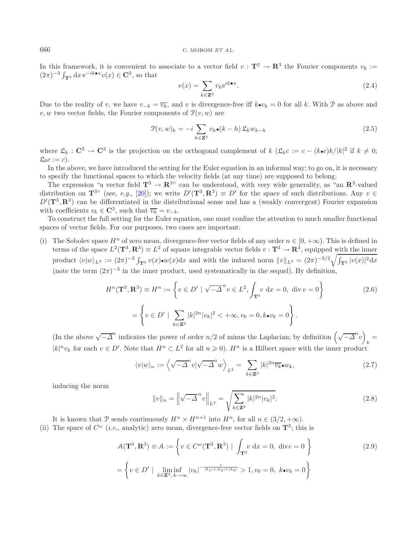In this framework, it is convenient to associate to a vector field  $v : \mathbf{T}^3 \to \mathbf{R}^3$  the Fourier components  $v_k :=$  $(2\pi)^{-3} \int_{\mathbf{T}^3} dx \, e^{-ik \cdot x} v(x) \in \mathbf{C}^3$ , so that

<span id="page-3-1"></span>
$$
v(x) = \sum_{k \in \mathbb{Z}^3} v_k e^{ik \bullet x}.
$$
 (2.4)

Due to the reality of v, we have  $v_{-k} = \overline{v_k}$ , and v is divergence-free iff  $k \bullet v_k = 0$  for all k. With P as above and v, w two vector fields, the Fourier components of  $\mathcal{P}(v, w)$  are

$$
\mathcal{P}(v, w)_k = -i \sum_{h \in \mathbf{Z}^3} v_h \bullet (k - h) \mathfrak{L}_k w_{k - h}
$$
\n(2.5)

where  $\mathfrak{L}_k : \mathbb{C}^3 \to \mathbb{C}^3$  is the projection on the orthogonal complement of  $k$   $(\mathfrak{L}_k c := c - (k \cdot c)k/|k|^2$  if  $k \neq 0$ ;  $\mathfrak{L}_0c := c$ .

In the above, we have introduced the setting for the Euler equation in an informal way; to go on, it is necessary to specify the functional spaces to which the velocity fields (at any time) are supposed to belong.

The expression "a vector field  $\mathbf{T}^3 \to \mathbf{R}^{3}$ " can be understood, with very wide generality, as "an  $\mathbf{R}^3$ -valued" distribution on  $\mathbf{T}^{3}$  (see, *e.g.*, [\[20\]](#page-25-14)); we write  $D'(\mathbf{T}^3, \mathbf{R}^3) \equiv D'$  for the space of such distributions. Any  $v \in$  $D'(\mathbf{T}^3, \mathbf{R}^3)$  can be differentiated in the distributional sense and has a (weakly convergent) Fourier expansion with coefficients  $v_k \in \mathbb{C}^3$ , such that  $\overline{v_k} = v_{-k}$ .

To construct the full setting for the Euler equation, one must confine the attention to much smaller functional spaces of vector fields. For our purposes, two cases are important:

(i) The Sobolev space  $H^n$  of zero mean, divergence-free vector fields of any order  $n \in [0, +\infty)$ . This is defined in terms of the space  $L^2(\mathbf{T}^3, \mathbf{R}^3) \equiv L^2$  of square integrable vector fields  $v : \mathbf{T}^3 \to \mathbf{R}^3$ , equipped with the inner product  $\langle v|w\rangle_{L^2} := (2\pi)^{-3} \int_{\mathbf{T}^3} v(x) \cdot w(x) dx$  and with the induced norm  $||v||_{L^2} = (2\pi)^{-3/2} \sqrt{\int_{\mathbf{T}^3} |v(x)|^2 dx}$ (note the term  $(2\pi)^{-3}$  in the inner product, used systematically in the sequel). By definition,

$$
H^{n}(\mathbf{T}^{3}, \mathbf{R}^{3}) \equiv H^{n} := \left\{ v \in D' \mid \sqrt{-\Delta}^{n} v \in L^{2}, \int_{\mathbf{T}^{3}} v dx = 0, \text{ div } v = 0 \right\}
$$
\n
$$
= \left\{ v \in D' \mid \sum_{k \in \mathbf{Z}^{3}} |k|^{2n} |v_{k}|^{2} < +\infty, v_{0} = 0, k \bullet v_{k} = 0 \right\}.
$$
\n(2.6)

(In the above  $\sqrt{-\Delta}^n$  indicates the power of order  $n/2$  of minus the Laplacian; by definition  $(\sqrt{-\Delta}^n v)_k =$  $|k|^n v_k$  for each  $v \in D'$ . Note that  $H^n \subset L^2$  for all  $n \geq 0$ ).  $H^n$  is a Hilbert space with the inner product

$$
\langle v|w\rangle_n := \left\langle \sqrt{-\Delta}^n v | \sqrt{-\Delta}^n w \right\rangle_{L^2} = \sum_{k \in \mathbf{Z}^3} |k|^{2n} \overline{v_k} \bullet w_k,\tag{2.7}
$$

inducing the norm

<span id="page-3-0"></span>
$$
||v||_n = \left\|\sqrt{-\Delta}^n v\right\|_{L^2} = \sqrt{\sum_{k \in \mathbb{Z}^3} |k|^{2n} |v_k|^2}.
$$
\n(2.8)

It is known that P sends continuously  $H^n \times H^{n+1}$  into  $H^n$ , for all  $n \in (3/2, +\infty)$ .

(ii) The space of  $C^{\omega}$  (*i.e.*, analytic) zero mean, divergence-free vector fields on  $\mathbf{T}^3$ ; this is

$$
\mathcal{A}(\mathbf{T}^3, \mathbf{R}^3) \equiv \mathcal{A} := \left\{ v \in C^{\omega}(\mathbf{T}^3, \mathbf{R}^3) \mid \int_{\mathbf{T}^3} v \, dx = 0, \text{ div} v = 0 \right\}
$$
\n
$$
= \left\{ v \in D' \mid \liminf_{k \in \mathbf{Z}^3, k \to \infty} |v_k|^{-\frac{1}{|k_1| + |k_2| + |k_3|}} > 1, v_0 = 0, k \bullet v_k = 0 \right\}
$$
\n(2.9)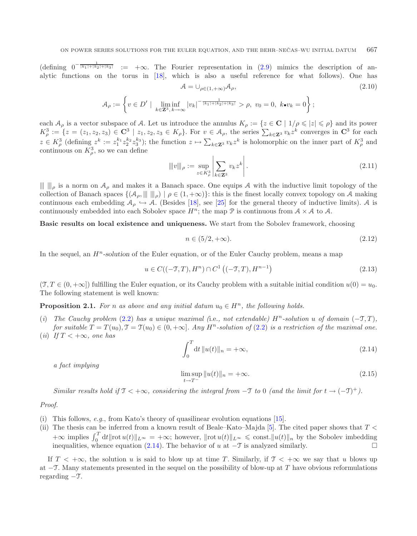$(\text{defining } 0^{-\frac{1}{|k_1|+|k_2|+|k_3|}} := +\infty.$  The Fourier representation in  $(2.9)$  mimics the description of analytic functions on the torus in [\[18\]](#page-25-15), which is also a useful reference for what follows). One has  $\mathcal{A} = \bigcup_{\rho \in (1, +\infty)} \mathcal{A}_{\rho},$ (2.10)

$$
\mathcal{A}_{\rho} := \left\{ v \in D' \mid \liminf_{k \in \mathbf{Z}^3, k \to \infty} |v_k|^{-\frac{1}{|k_1| + |k_2| + |k_3|}} > \rho, \ v_0 = 0, \ k \bullet v_k = 0 \right\};
$$

each  $A_\rho$  is a vector subspace of A. Let us introduce the annulus  $K_\rho := \{z \in \mathbf{C} \mid 1/\rho \leqslant |z| \leqslant \rho\}$  and its power  $K_{\rho}^3 := \{z = (z_1, z_2, z_3) \in \mathbf{C}^3 \mid z_1, z_2, z_3 \in K_{\rho}\}.$  For  $v \in \mathcal{A}_{\rho}$ , the series  $\sum_{k \in \mathbf{Z}^3} v_k z^k$  converges in  $\mathbf{C}^3$  for each  $z \in K_{\rho}^{3}$  (defining  $z^{k} := z_1^{k_1} z_2^{k_2} z_3^{k_3}$ ); the function  $z \mapsto \sum_{k \in \mathbf{Z}^3} v_k z^k$  is holomorphic on the inner part of  $K_{\rho}^{3}$  and continuous on  $K^3_\rho$ , so we can define

<span id="page-4-2"></span>
$$
\| |v| \|_{\rho} := \sup_{z \in K_{\rho}^3} \left| \sum_{k \in \mathbf{Z}^3} v_k z^k \right|.
$$
 (2.11)

 $\| \cdot \|_{\rho}$  is a norm on  $A_{\rho}$  and makes it a Banach space. One equips A with the inductive limit topology of the collection of Banach spaces  $\{(\mathcal{A}_{\rho}, \|\|\,\|_{\rho}) \mid \rho \in (1, +\infty)\}\$ : this is the finest locally convex topology on A making continuous each embedding  $A_{\rho} \hookrightarrow A$ . (Besides [\[18](#page-25-15)], see [\[25](#page-25-16)] for the general theory of inductive limits). A is continuously embedded into each Sobolev space  $H^n$ ; the map  $\mathcal P$  is continuous from  $\mathcal A \times \mathcal A$  to  $\mathcal A$ .

<span id="page-4-0"></span>**Basic results on local existence and uniqueness.** We start from the Sobolev framework, choosing

$$
n \in (5/2, +\infty). \tag{2.12}
$$

<span id="page-4-1"></span>In the sequel, an  $H<sup>n</sup>$ -solution of the Euler equation, or of the Euler Cauchy problem, means a map

$$
u \in C((-T, T), Hn) \cap C1 ((-\mathcal{T}, T), Hn-1)
$$
\n(2.13)

 $(T, T \in (0, +\infty))$  fulfilling the Euler equation, or its Cauchy problem with a suitable initial condition  $u(0) = u_0$ . The following statement is well known:

**Proposition 2.1.** *For* n *as above and any initial datum*  $u_0 \in H^n$ *, the following holds.* 

- (*i*) *The Cauchy problem* [\(2.2\)](#page-2-2) *has a unique maximal* (i.e., not extendable)  $H^n$ -solution u of domain (−T, T), *for suitable*  $T = T(u_0), T = T(u_0) \in (0, +\infty]$ *. Any*  $H^n$ -solution of [\(2.2\)](#page-2-2) *is a restriction of the maximal one.*
- $(iii)$  *If*  $T < +\infty$ *, one has*

$$
\int_{0}^{T} dt \, \|u(t)\|_{n} = +\infty,
$$
\n(2.14)

*a fact implying*

$$
\limsup_{t \to T^{-}} \|u(t)\|_{n} = +\infty.
$$
\n(2.15)

*Similar results hold if*  $\mathcal{T} < +\infty$ *, considering the integral from*  $-\mathcal{T}$  *to* 0 *(and the limit for*  $t \to (-\mathcal{T})^+$ *).* 

*Proof.*

- (i) This follows, *e.g.*, from Kato's theory of quasilinear evolution equations [\[15](#page-25-17)].
- (ii) The thesis can be inferred from a known result of Beale–Kato–Majda [\[5\]](#page-25-7). The cited paper shows that  $T <$  $+\infty$  implies  $\int_0^T dt \|\text{rot }u(t)\|_{L^\infty} = +\infty$ ; however,  $\|\text{rot }u(t)\|_{L^\infty} \leq \text{const.} \|u(t)\|_{n}$  by the Sobolev imbedding inequalities, whence equation [\(2.14\)](#page-4-0). The behavior of u at  $-\mathcal{T}$  is analyzed similarly.  $\Box$

If  $T < +\infty$ , the solution u is said to blow up at time T. Similarly, if  $T < +\infty$  we say that u blows up at  $-T$ . Many statements presented in the sequel on the possibility of blow-up at T have obvious reformulations regarding −T.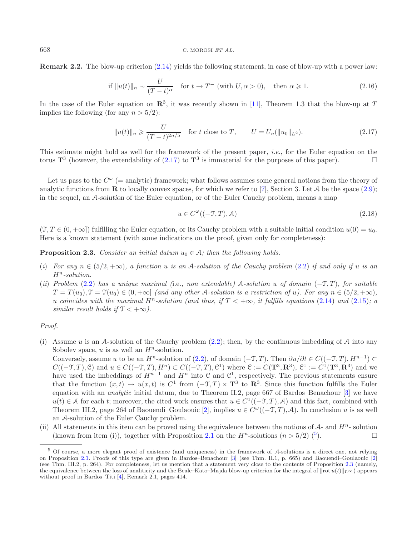#### <span id="page-5-3"></span>668 C. MOROSI *ET AL.*

**Remark 2.2.** The blow-up criterion [\(2.14\)](#page-4-0) yields the following statement, in case of blow-up with a power law:

<span id="page-5-0"></span>if 
$$
||u(t)||_n \sim \frac{U}{(T-t)^\alpha}
$$
 for  $t \to T^-$  (with  $U, \alpha > 0$ ), then  $\alpha \ge 1$ . (2.16)

In the case of the Euler equation on  $\mathbb{R}^3$ , it was recently shown in [\[11\]](#page-25-18), Theorem 1.3 that the blow-up at T implies the following (for any  $n > 5/2$ ):

$$
||u(t)||_n \geqslant \frac{U}{(T-t)^{2n/5}} \quad \text{for } t \text{ close to } T, \qquad U = U_n(||u_0||_{L^2}). \tag{2.17}
$$

This estimate might hold as well for the framework of the present paper, *i.e.*, for the Euler equation on the torus  $\mathbf{T}^3$  (however, the extendability of [\(2.17\)](#page-5-0) to  $\mathbf{T}^3$  is immaterial for the purposes of this paper).

Let us pass to the  $C^{\omega}$  (= analytic) framework; what follows assumes some general notions from the theory of analytic functions from **R** to locally convex spaces, for which we refer to [\[7](#page-25-19)], Section 3. Let A be the space  $(2.9)$ ; in the sequel, an A*-solution* of the Euler equation, or of the Euler Cauchy problem, means a map

<span id="page-5-2"></span>
$$
u \in C^{\omega}((-T,T), \mathcal{A}) \tag{2.18}
$$

 $(\mathcal{T}, T \in (0, +\infty])$  fulfilling the Euler equation, or its Cauchy problem with a suitable initial condition  $u(0) = u_0$ . Here is a known statement (with some indications on the proof, given only for completeness):

**Proposition 2.3.** *Consider an initial datum*  $u_0 \in A$ *; then the following holds.* 

- (*i*) For any  $n \in (5/2, +\infty)$ , a function u is an A-solution of the Cauchy problem [\(2.2\)](#page-2-2) if and only if u is an  $H^n$ -solution.
- (*ii*) *Problem* [\(2.2\)](#page-2-2) *has a unique maximal (*i.e.*, non extendable)* A*-solution* u *of domain* (−T, T )*, for suitable*  $T = T(u_0), T = T(u_0) \in (0, +\infty]$  *(and any other A-solution is a restriction of u). For any*  $n \in (5/2, +\infty)$ , u coincides with the maximal  $H^n$ -solution (and thus, if  $T < +\infty$ , it fulfills equations [\(2.14\)](#page-4-0) and [\(2.15\)](#page-4-1); a *similar result holds if*  $\mathcal{T} < +\infty$ *).*

### *Proof.*

<span id="page-5-1"></span>(i) Assume u is an A-solution of the Cauchy problem  $(2.2)$ ; then, by the continuous imbedding of A into any Sobolev space,  $u$  is as well an  $H^n$ -solution.

Conversely, assume u to be an  $H^n$ -solution of [\(2.2\)](#page-2-2), of domain (-T, T). Then  $\partial u/\partial t \in C((-T,T), H^{n-1}) \subset$  $C((-T,T), \mathcal{C})$  and  $u \in C((-T,T), H^n) \subset C((-T,T), \mathcal{C}^1)$  where  $\mathcal{C} := C(\mathbf{T}^3, \mathbf{R}^3)$ ,  $\mathcal{C}^1 := C^1(\mathbf{T}^3, \mathbf{R}^3)$  and we have used the imbeddings of  $H^{n-1}$  and  $H^n$  into  $\mathfrak C$  and  $\mathfrak C^1$ , respectively. The previous statements ensure that the function  $(x, t) \mapsto u(x, t)$  is  $C^1$  from  $(-\mathcal{T}, T) \times \mathbf{T}^3$  to  $\mathbf{R}^3$ . Since this function fulfills the Euler equation with an *analytic* initial datum, due to Theorem II.2, page 667 of Bardos–Benachour [\[3\]](#page-25-6) we have  $u(t) \in A$  for each t; moreover, the cited work ensures that  $u \in C^1((-T,T), A)$  and this fact, combined with Theorem III.2, page 264 of Baouendi–Goulaouic [\[2\]](#page-25-20), implies  $u \in C^{\omega}((-T,T), \mathcal{A})$ . In conclusion u is as well an A-solution of the Euler Cauchy problem.

(ii) All statements in this item can be proved using the equivalence between the notions of  $A$ - and  $H^n$ - solution (known from item (i)), together with Proposition [2.1](#page-4-2) on the  $H^n$ -solutions  $(n > 5/2)$  $(n > 5/2)$  $(n > 5/2)$  (<sup>5</sup>).

<sup>5</sup> Of course, a more elegant proof of existence (and uniqueness) in the framework of A-solutions is a direct one, not relying on Proposition [2.1.](#page-4-2) Proofs of this type are given in Bardos–Benachour [\[3\]](#page-25-6) (see Thm. II.1, p. 665) and Baouendi–Goulaouic [\[2](#page-25-20)] (see Thm. III.2, p. 264). For completeness, let us mention that a statement very close to the contents of Proposition [2.3](#page-5-2) (namely, the equivalence between the loss of analiticity and the Beale–Kato–Majda blow-up criterion for the integral of  $\| \text{rot } u(t) \|_{L^{\infty}}$  appears without proof in Bardos–Titi [\[4\]](#page-25-21), Remark 2.1, pages 414.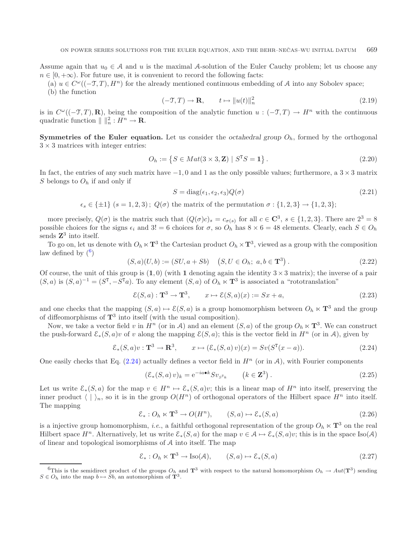Assume again that  $u_0 \in A$  and u is the maximal A-solution of the Euler Cauchy problem; let us choose any  $n \in [0, +\infty)$ . For future use, it is convenient to record the following facts:

- (a)  $u \in C^{\omega}(-\mathcal{T}, T), H^{n}$  for the already mentioned continuous embedding of A into any Sobolev space;
- (b) the function

$$
(-\mathfrak{T},T) \to \mathbf{R}, \qquad t \mapsto \|u(t)\|_{n}^{2} \tag{2.19}
$$

is in  $C^{\omega}(-\mathcal{T}, T), \mathbf{R}$ ), being the composition of the analytic function  $u : (-\mathcal{T}, T) \to H^n$  with the continuous quadratic function  $\| \cdot \|_n^2 : H^n \to \mathbf{R}$ .

<span id="page-6-3"></span>**Symmetries of the Euler equation.** Let us consider the *octahedral group*  $O_h$ , formed by the orthogonal  $3 \times 3$  matrices with integer entries:

$$
O_h := \{ S \in Mat(3 \times 3, \mathbf{Z}) \mid S^{\mathrm{T}}S = \mathbf{1} \}.
$$
\n(2.20)

In fact, the entries of any such matrix have  $-1, 0$  and 1 as the only possible values; furthermore, a  $3 \times 3$  matrix S belongs to  $O_h$  if and only if

<span id="page-6-2"></span><span id="page-6-1"></span>
$$
S = \text{diag}(\epsilon_1, \epsilon_2, \epsilon_3) Q(\sigma) \tag{2.21}
$$

$$
\epsilon_s \in \{\pm 1\} \ (s = 1, 2, 3); \ Q(\sigma)
$$
 the matrix of the permutation  $\sigma : \{1, 2, 3\} \to \{1, 2, 3\};$ 

more precisely,  $Q(\sigma)$  is the matrix such that  $(Q(\sigma)c)_s = c_{\sigma(s)}$  for all  $c \in \mathbb{C}^3$ ,  $s \in \{1,2,3\}$ . There are  $2^3 = 8$ possible choices for the signs  $\epsilon_i$  and  $3! = 6$  choices for  $\sigma$ , so  $O_h$  has  $8 \times 6 = 48$  elements. Clearly, each  $S \in O_h$ sends **Z**<sup>3</sup> into itself.

To go on, let us denote with  $O_h \ltimes T^3$  the Cartesian product  $O_h \ltimes T^3$ , viewed as a group with the composition law defined by  $(6)$  $(6)$  $(6)$ 

$$
(S, a)(U, b) := (SU, a + Sb) \quad (S, U \in O_h; a, b \in \mathbf{T}^3).
$$
\n
$$
(2.22)
$$

Of course, the unit of this group is  $(1,0)$  (with 1 denoting again the identity  $3 \times 3$  matrix); the inverse of a pair  $(S, a)$  is  $(S, a)^{-1} = (S^T, -S^T a)$ . To any element  $(S, a)$  of  $O_h \ltimes T^3$  is associated a "rototranslation"

$$
\mathcal{E}(S, a) : \mathbf{T}^3 \to \mathbf{T}^3, \qquad x \mapsto \mathcal{E}(S, a)(x) := Sx + a,\tag{2.23}
$$

and one checks that the mapping  $(S, a) \mapsto \mathcal{E}(S, a)$  is a group homomorphism between  $O_h \ltimes \mathbf{T}^3$  and the group of diffeomorphisms of **T**<sup>3</sup> into itself (with the usual composition).

Now, we take a vector field v in  $H^n$  (or in A) and an element  $(S, a)$  of the group  $O_h \ltimes T^3$ . We can construct the push-forward  $\mathcal{E}_*(S, a)v$  of v along the mapping  $\mathcal{E}(S, a)$ ; this is the vector field in  $H^n$  (or in A), given by

$$
\mathcal{E}_*(S, a)v : \mathbf{T}^3 \to \mathbf{R}^3, \qquad x \mapsto (\mathcal{E}_*(S, a)v)(x) = Sv(S^T(x - a)). \tag{2.24}
$$

<span id="page-6-0"></span>One easily checks that Eq.  $(2.24)$  actually defines a vector field in  $H<sup>n</sup>$  (or in A), with Fourier components

$$
(\mathcal{E}_*(S, a) v)_k = e^{-i a \bullet k} S v_{S^{\mathsf{T}_k}} \qquad (k \in \mathbf{Z}^3).
$$
 (2.25)

Let us write  $\mathcal{E}_*(S, a)$  for the map  $v \in H^n \mapsto \mathcal{E}_*(S, a)v$ ; this is a linear map of  $H^n$  into itself, preserving the inner product  $\langle | \rangle_n$ , so it is in the group  $O(H^n)$  of orthogonal operators of the Hilbert space  $H^n$  into itself. The mapping

$$
\mathcal{E}_*: O_h \ltimes \mathbf{T}^3 \to O(H^n), \qquad (S, a) \mapsto \mathcal{E}_*(S, a) \tag{2.26}
$$

is a injective group homomorphism, *i.e.*, a faithful orthogonal representation of the group  $O_h \ltimes T^3$  on the real Hilbert space  $H^n$ . Alternatively, let us write  $\mathcal{E}_*(S, a)$  for the map  $v \in \mathcal{A} \mapsto \mathcal{E}_*(S, a)v$ ; this is in the space Iso(A) of linear and topological isomorphisms of A into itself. The map

$$
\mathcal{E}_*: O_h \ltimes \mathbf{T}^3 \to \text{Iso}(\mathcal{A}), \qquad (S, a) \mapsto \mathcal{E}_*(S, a) \tag{2.27}
$$

<sup>&</sup>lt;sup>6</sup>This is the semidirect product of the groups  $O_h$  and  $\mathbf{T}^3$  with respect to the natural homomorphism  $O_h \to Aut(\mathbf{T}^3)$  sending  $S \in O_h$  into the map  $b \mapsto Sb$ , an automorphism of  $\mathbf{T}^3$ .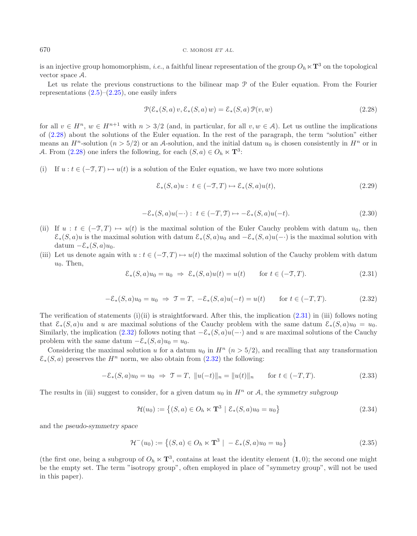#### <span id="page-7-0"></span>670 C. MOROSI *ET AL.*

is an injective group homomorphism, *i.e.*, a faithful linear representation of the group  $O_h \ltimes T^3$  on the topological vector space A.

Let us relate the previous constructions to the bilinear map  $\mathcal P$  of the Euler equation. From the Fourier representations  $(2.5)$ – $(2.25)$ , one easily infers

$$
\mathcal{P}(\mathcal{E}_*(S, a) v, \mathcal{E}_*(S, a) w) = \mathcal{E}_*(S, a) \mathcal{P}(v, w)
$$
\n(2.28)

for all  $v \in H^n$ ,  $w \in H^{n+1}$  with  $n > 3/2$  (and, in particular, for all  $v, w \in A$ ). Let us outline the implications of [\(2.28\)](#page-7-0) about the solutions of the Euler equation. In the rest of the paragraph, the term "solution" either means an  $H^n$ -solution ( $n > 5/2$ ) or an A-solution, and the initial datum  $u_0$  is chosen consistently in  $H^n$  or in A. From [\(2.28\)](#page-7-0) one infers the following, for each  $(S, a) \in O_h \ltimes \mathbf{T}^3$ :

<span id="page-7-2"></span><span id="page-7-1"></span>(i) If  $u : t \in (-\mathcal{T}, T) \mapsto u(t)$  is a solution of the Euler equation, we have two more solutions

$$
\mathcal{E}_*(S, a)u: \ t \in (-\mathfrak{I}, T) \mapsto \mathcal{E}_*(S, a)u(t), \tag{2.29}
$$

<span id="page-7-3"></span>
$$
-\mathcal{E}_*(S,a)u(-\cdot): \ t\in (-T,\mathfrak{I})\mapsto -\mathcal{E}_*(S,a)u(-t). \tag{2.30}
$$

- (ii) If  $u : t \in (-\mathcal{T}, T) \mapsto u(t)$  is the maximal solution of the Euler Cauchy problem with datum  $u_0$ , then  $\mathcal{E}_*(S, a)u$  is the maximal solution with datum  $\mathcal{E}_*(S, a)u_0$  and  $-\mathcal{E}_*(S, a)u(-)$  is the maximal solution with datum  $-\mathcal{E}_*(S,a)u_0$ .
- (iii) Let us denote again with  $u : t \in (-\mathcal{T}, T) \mapsto u(t)$  the maximal solution of the Cauchy problem with datum  $u_0$ . Then,

<span id="page-7-4"></span>
$$
\mathcal{E}_*(S, a)u_0 = u_0 \Rightarrow \mathcal{E}_*(S, a)u(t) = u(t) \quad \text{for } t \in (-\mathcal{T}, T). \tag{2.31}
$$

<span id="page-7-5"></span>
$$
-\mathcal{E}_*(S,a)u_0 = u_0 \Rightarrow \mathcal{T} = T, -\mathcal{E}_*(S,a)u(-t) = u(t) \quad \text{for } t \in (-T,T). \tag{2.32}
$$

The verification of statements  $(i)(ii)$  is straightforward. After this, the implication  $(2.31)$  in (iii) follows noting that  $\mathcal{E}_*(S,a)u$  and u are maximal solutions of the Cauchy problem with the same datum  $\mathcal{E}_*(S,a)u_0 = u_0$ . Similarly, the implication [\(2.32\)](#page-7-2) follows noting that  $-\mathcal{E}_*(S, a)u(-)$  and u are maximal solutions of the Cauchy problem with the same datum  $-\mathcal{E}_*(S,a)u_0 = u_0$ .

Considering the maximal solution u for a datum  $u_0$  in  $H^n$  ( $n > 5/2$ ), and recalling that any transformation  $\mathcal{E}_{*}(S, a)$  preserves the  $H^{n}$  norm, we also obtain from  $(2.32)$  the following:

$$
-\mathcal{E}_*(S, a)u_0 = u_0 \implies \mathcal{T} = T, \ \|u(-t)\|_n = \|u(t)\|_n \quad \text{for } t \in (-T, T). \tag{2.33}
$$

The results in (iii) suggest to consider, for a given datum  $u_0$  in  $H^n$  or A, the *symmetry subgroup* 

$$
\mathcal{H}(u_0) := \{(S, a) \in O_h \ltimes \mathbf{T}^3 \mid \mathcal{E}_*(S, a)u_0 = u_0\}
$$
\n(2.34)

and the *pseudo-symmetry space*

$$
\mathcal{H}^-(u_0) := \left\{ (S, a) \in O_h \ltimes \mathbf{T}^3 \mid -\mathcal{E}_*(S, a)u_0 = u_0 \right\} \tag{2.35}
$$

(the first one, being a subgroup of  $O_h \ltimes T^3$ , contains at least the identity element  $(1, 0)$ ; the second one might be the empty set. The term "isotropy group", often employed in place of "symmetry group", will not be used in this paper).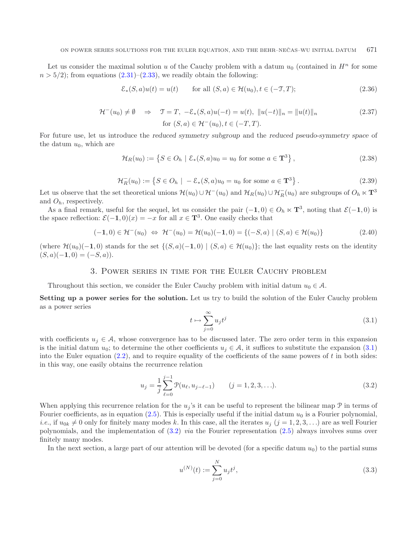Let us consider the maximal solution u of the Cauchy problem with a datum  $u_0$  (contained in  $H^n$  for some  $n > 5/2$ ; from equations  $(2.31)$ – $(2.33)$ , we readily obtain the following:

<span id="page-8-3"></span>
$$
\mathcal{E}_*(S, a)u(t) = u(t) \qquad \text{for all } (S, a) \in \mathcal{H}(u_0), t \in (-\mathcal{T}, T); \tag{2.36}
$$

$$
\mathcal{H}^-(u_0) \neq \emptyset \quad \Rightarrow \quad \mathcal{T} = T, \ -\mathcal{E}_*(S, a)u(-t) = u(t), \ ||u(-t)||_n = ||u(t)||_n
$$
\n
$$
\text{for } (S, a) \in \mathcal{H}^-(u_0), t \in (-T, T).
$$
\n
$$
(2.37)
$$

For future use, let us introduce the *reduced symmetry subgroup* and the *reduced pseudo-symmetry space* of the datum  $u_0$ , which are

$$
\mathcal{H}_R(u_0) := \left\{ S \in O_h \mid \mathcal{E}_*(S, a)u_0 = u_0 \text{ for some } a \in \mathbf{T}^3 \right\},\tag{2.38}
$$

$$
\mathcal{H}_R^-(u_0) := \{ S \in O_h \mid -\mathcal{E}_*(S, a)u_0 = u_0 \text{ for some } a \in \mathbf{T}^3 \}.
$$
 (2.39)

Let us observe that the set theoretical unions  $\mathcal{H}(u_0) \cup \mathcal{H}^-(u_0)$  and  $\mathcal{H}_R(u_0) \cup \mathcal{H}_R^-(u_0)$  are subgroups of  $O_h \ltimes \mathbf{T}^3$ and  $O_h$ , respectively.

<span id="page-8-1"></span>As a final remark, useful for the sequel, let us consider the pair  $(-1,0) \in O_h \ltimes T^3$ , noting that  $\mathcal{E}(-1,0)$  is the space reflection:  $\mathcal{E}(-1,0)(x) = -x$  for all  $x \in \mathbf{T}^3$ . One easily checks that

$$
(-1,0) \in \mathcal{H}^{-}(u_0) \iff \mathcal{H}^{-}(u_0) = \mathcal{H}(u_0)(-1,0) = \{(-S,a) \mid (S,a) \in \mathcal{H}(u_0)\}\
$$
 (2.40)

<span id="page-8-0"></span>(where  $\mathcal{H}(u_0)(-1,0)$  stands for the set  $\{(S,a)(-1,0) \mid (S,a) \in \mathcal{H}(u_0)\}$ ; the last equality rests on the identity  $(S, a)(-1, 0) = (-S, a)).$ 

## <span id="page-8-2"></span>3. Power series in time for the Euler Cauchy problem

Throughout this section, we consider the Euler Cauchy problem with initial datum  $u_0 \in \mathcal{A}$ .

**Setting up a power series for the solution.** Let us try to build the solution of the Euler Cauchy problem as a power series

$$
t \mapsto \sum_{j=0}^{\infty} u_j t^j \tag{3.1}
$$

with coefficients  $u_i \in A$ , whose convergence has to be discussed later. The zero order term in this expansion is the initial datum  $u_0$ ; to determine the other coefficients  $u_j \in A$ , it suffices to substitute the expansion [\(3.1\)](#page-8-1) into the Euler equation  $(2.2)$ , and to require equality of the coefficients of the same powers of t in both sides: in this way, one easily obtains the recurrence relation

$$
u_j = \frac{1}{j} \sum_{\ell=0}^{j-1} \mathcal{P}(u_\ell, u_{j-\ell-1}) \qquad (j = 1, 2, 3, \ldots).
$$
 (3.2)

When applying this recurrence relation for the  $u_j$ 's it can be useful to represent the bilinear map  $\mathcal P$  in terms of Fourier coefficients, as in equation [\(2.5\)](#page-3-1). This is especially useful if the initial datum  $u_0$  is a Fourier polynomial, *i.e.*, if  $u_{0k} \neq 0$  only for finitely many modes k. In this case, all the iterates  $u_j$   $(j = 1, 2, 3, ...)$  are as well Fourier polynomials, and the implementation of [\(3.2\)](#page-8-2) *via* the Fourier representation [\(2.5\)](#page-3-1) always involves sums over finitely many modes.

In the next section, a large part of our attention will be devoted (for a specific datum  $u_0$ ) to the partial sums

$$
u^{(N)}(t) := \sum_{j=0}^{N} u_j t^j,
$$
\n(3.3)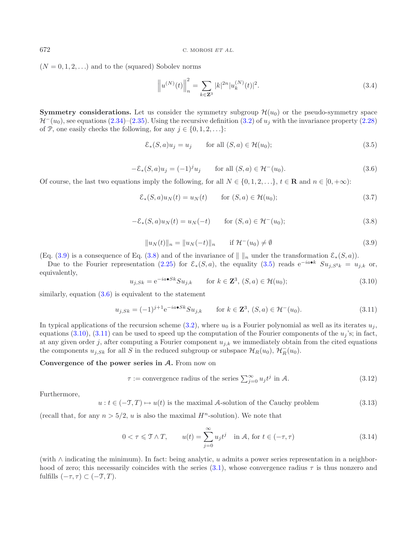$(N = 0, 1, 2, ...)$  and to the (squared) Sobolev norms

<span id="page-9-2"></span>
$$
\left\|u^{(N)}(t)\right\|_{n}^{2} = \sum_{k \in \mathbb{Z}^{3}} |k|^{2n} |u_{k}^{(N)}(t)|^{2}.
$$
\n(3.4)

<span id="page-9-1"></span><span id="page-9-0"></span>**Symmetry considerations.** Let us consider the symmetry subgroup  $\mathcal{H}(u_0)$  or the pseudo-symmetry space  $\mathcal{H}^-(u_0)$ , see equations [\(2.34\)](#page-7-4)–[\(2.35\)](#page-7-5). Using the recursive definition [\(3.2\)](#page-8-2) of  $u_i$  with the invariance property [\(2.28\)](#page-7-0) of P, one easily checks the following, for any  $j \in \{0, 1, 2, \ldots\}$ :

$$
\mathcal{E}_*(S, a)u_j = u_j \qquad \text{for all } (S, a) \in \mathcal{H}(u_0); \tag{3.5}
$$

$$
-\mathcal{E}_*(S,a)u_j = (-1)^j u_j \qquad \text{for all } (S,a) \in \mathcal{H}^-(u_0). \tag{3.6}
$$

<span id="page-9-4"></span>Of course, the last two equations imply the following, for all  $N \in \{0, 1, 2, \ldots\}$ ,  $t \in \mathbb{R}$  and  $n \in [0, +\infty)$ :

<span id="page-9-5"></span>
$$
\mathcal{E}_*(S, a)u_N(t) = u_N(t) \qquad \text{for } (S, a) \in \mathcal{H}(u_0); \tag{3.7}
$$

$$
-\mathcal{E}_*(S,a)u_N(t) = u_N(-t) \qquad \text{for } (S,a) \in \mathcal{H}^-(u_0);
$$
\n(3.8)

$$
||u_N(t)||_n = ||u_N(-t)||_n \quad \text{if } \mathcal{H}^-(u_0) \neq \emptyset \tag{3.9}
$$

(Eq. [\(3.9\)](#page-9-0) is a consequence of Eq. [\(3.8\)](#page-9-1) and of the invariance of  $|| \cdot ||_n$  under the transformation  $\mathcal{E}_*(S, a)$ .

Due to the Fourier representation [\(2.25\)](#page-6-2) for  $\mathcal{E}_*(S, a)$ , the equality [\(3.5\)](#page-9-2) reads e<sup>-ia•k</sup>  $Su_{i,S^T k} = u_{i,k}$  or, equivalently,

$$
u_{j,Sk} = e^{-ia \bullet Sk} S u_{j,k} \qquad \text{for } k \in \mathbf{Z}^3, (S, a) \in \mathcal{H}(u_0); \tag{3.10}
$$

similarly, equation  $(3.6)$  is equivalent to the statement

$$
u_{j,Sk} = (-1)^{j+1} e^{-ia \bullet Sk} S u_{j,k} \qquad \text{for } k \in \mathbf{Z}^3, (S, a) \in \mathcal{H}^-(u_0). \tag{3.11}
$$

In typical applications of the recursion scheme [\(3.2\)](#page-8-2), where  $u_0$  is a Fourier polynomial as well as its iterates  $u_j$ , equations [\(3.10\)](#page-9-4), [\(3.11\)](#page-9-5) can be used to speed up the computation of the Fourier components of the  $u_j$ 's; in fact, at any given order j, after computing a Fourier component  $u_{j,k}$  we immediately obtain from the cited equations the components  $u_{j,Sk}$  for all S in the reduced subgroup or subspace  $\mathcal{H}_R(u_0)$ ,  $\mathcal{H}_R^-(u_0)$ .

### **Convergence of the power series in A.** From now on

$$
\tau := \text{convergence radius of the series } \sum_{j=0}^{\infty} u_j t^j \text{ in } \mathcal{A}. \tag{3.12}
$$

Furthermore,

$$
u: t \in (-\mathcal{T}, T) \mapsto u(t)
$$
 is the maximal A-solution of the Cauchy problem 
$$
(3.13)
$$

(recall that, for any  $n > 5/2$ , u is also the maximal  $H<sup>n</sup>$ -solution). We note that

$$
0 < \tau \leq \mathcal{T} \wedge T, \qquad u(t) = \sum_{j=0}^{\infty} u_j t^j \quad \text{in } \mathcal{A}, \text{ for } t \in (-\tau, \tau) \tag{3.14}
$$

(with ∧ indicating the minimum). In fact: being analytic, u admits a power series representation in a neighborhood of zero; this necessarily coincides with the series  $(3.1)$ , whose convergence radius  $\tau$  is thus nonzero and fulfills  $(-\tau, \tau) \subset (-\mathfrak{T}, T)$ .

<span id="page-9-3"></span>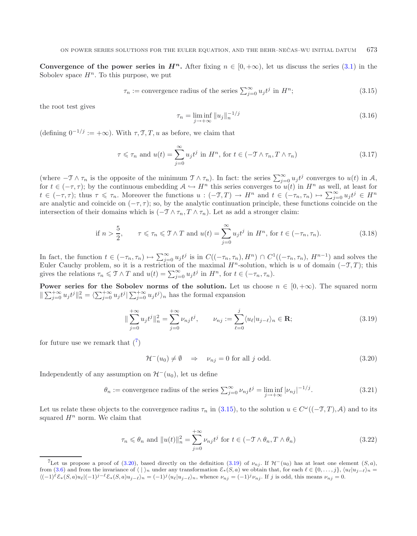<span id="page-10-6"></span>**Convergence of the power series in**  $H^n$ **.** After fixing  $n \in [0, +\infty)$ , let us discuss the series [\(3.1\)](#page-8-1) in the Sobolev space  $H^n$ . To this purpose, we put

<span id="page-10-1"></span>
$$
\tau_n := \text{convergence radius of the series } \sum_{j=0}^{\infty} u_j t^j \text{ in } H^n; \tag{3.15}
$$

the root test gives

<span id="page-10-5"></span><span id="page-10-3"></span>
$$
\tau_n = \liminf_{j \to +\infty} \|u_j\|_n^{-1/j} \tag{3.16}
$$

(defining  $0^{-1/j} := +\infty$ ). With  $\tau$ ,  $\mathcal{T}$ ,  $T$ ,  $u$  as before, we claim that

$$
\tau \leqslant \tau_n \text{ and } u(t) = \sum_{j=0}^{\infty} u_j t^j \text{ in } H^n, \text{ for } t \in (-\mathcal{T} \wedge \tau_n, T \wedge \tau_n)
$$
\n
$$
(3.17)
$$

(where  $-\mathcal{T} \wedge \tau_n$  is the opposite of the minimum  $\mathcal{T} \wedge \tau_n$ ). In fact: the series  $\sum_{j=0}^{\infty} u_j t^j$  converges to  $u(t)$  in A, for  $t \in (-\tau, \tau)$ ; by the continuous embedding  $A \hookrightarrow H^n$  this series converges to  $u(t)$  in  $H^n$  as well, at least for  $t \in (-\tau, \tau);$  thus  $\tau \leq \tau_n$ . Moreover the functions  $u: (-\mathcal{T}, T) \to H^n$  and  $t \in (-\tau_n, \tau_n) \mapsto \sum_{j=0}^{\infty} u_j t^j \in H^n$ are analytic and coincide on  $(-\tau, \tau)$ ; so, by the analytic continuation principle, these functions coincide on the intersection of their domains which is  $(-\mathcal{T} \wedge \tau_n, T \wedge \tau_n)$ . Let as add a stronger claim:

<span id="page-10-2"></span>if 
$$
n > \frac{5}{2}
$$
,  $\tau \leq \tau_n \leq \tau \wedge T$  and  $u(t) = \sum_{j=0}^{\infty} u_j t^j$  in  $H^n$ , for  $t \in (-\tau_n, \tau_n)$ . (3.18)

In fact, the function  $t \in (-\tau_n, \tau_n) \mapsto \sum_{j=0}^{\infty} u_j t^j$  is in  $C((-\tau_n, \tau_n), H^n) \cap C^1((-\tau_n, \tau_n), H^{n-1})$  and solves the Euler Cauchy problem, so it is a restriction of the maximal  $H<sup>n</sup>$ -solution, which is u of domain (-T,T); this gives the relations  $\tau_n \leq \mathcal{T} \wedge T$  and  $u(t) = \sum_{j=0}^{\infty} u_j t^j$  in  $H^n$ , for  $t \in (-\tau_n, \tau_n)$ .

**Power series for the Sobolev norms of the solution.** Let us choose  $n \in [0, +\infty)$ . The squared norm  $\|\sum_{j=0}^{+\infty} u_j t^j\|_n^2 = \langle \sum_{j=0}^{+\infty} u_j t^j \rangle_{j=0}^{+\infty} u_j t^j \rangle_n$  has the formal expansion

<span id="page-10-4"></span>
$$
\|\sum_{j=0}^{+\infty} u_j t^j\|_n^2 = \sum_{j=0}^{+\infty} \nu_{nj} t^j, \qquad \nu_{nj} := \sum_{\ell=0}^j \langle u_\ell | u_{j-\ell} \rangle_n \in \mathbf{R};
$$
\n(3.19)

for future use we remark that  $\binom{7}{ }$  $\binom{7}{ }$  $\binom{7}{ }$ 

$$
\mathcal{H}^-(u_0) \neq \emptyset \quad \Rightarrow \quad \nu_{nj} = 0 \text{ for all } j \text{ odd.} \tag{3.20}
$$

<span id="page-10-0"></span>Independently of any assumption on  $\mathcal{H}^-(u_0)$ , let us define

$$
\theta_n := \text{convergence radius of the series } \sum_{j=0}^{\infty} \nu_{nj} t^j = \liminf_{j \to +\infty} |\nu_{nj}|^{-1/j}.
$$
 (3.21)

Let us relate these objects to the convergence radius  $\tau_n$  in [\(3.15\)](#page-10-1), to the solution  $u \in C^{\omega}((-\mathcal{T},T),\mathcal{A})$  and to its squared  $H^n$  norm. We claim that

$$
\tau_n \leq \theta_n \text{ and } \|u(t)\|_n^2 = \sum_{j=0}^{+\infty} \nu_{nj} t^j \text{ for } t \in (-\mathcal{T} \wedge \theta_n, T \wedge \theta_n)
$$
\n(3.22)

<sup>&</sup>lt;sup>7</sup>Let us propose a proof of [\(3.20\)](#page-10-2), based directly on the definition [\(3.19\)](#page-10-3) of  $\nu_{nj}$ . If  $\mathcal{H}^-(u_0)$  has at least one element  $(S, a)$ , from [\(3.6\)](#page-9-3) and from the invariance of  $\langle |n \rangle$  under any transformation  $\mathcal{E}_*(S, a)$  we obtain that, for each  $\ell \in \{0, \ldots, j\}$ ,  $\langle u_\ell | u_{j-\ell} \rangle_n =$  $\langle (-1)^{\ell} \mathcal{E}_*(S,a) u_{\ell} | (-1)^{j-\ell} \mathcal{E}_*(S,a) u_{j-\ell} \rangle_n = (-1)^j \langle u_{\ell} | u_{j-\ell} \rangle_n$ , whence  $\nu_{nj} = (-1)^j \nu_{nj}$ . If j is odd, this means  $\nu_{nj} = 0$ .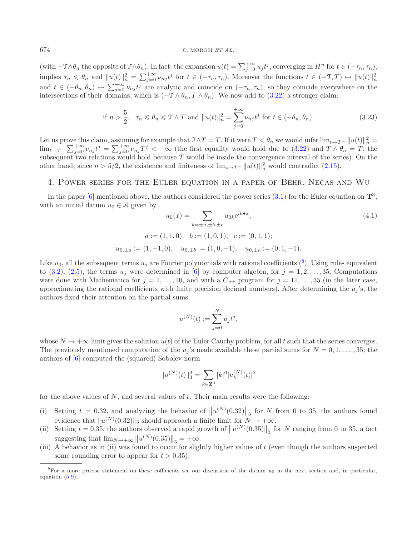(with  $-\mathcal{I}\wedge\theta_n$  the opposite of  $\mathcal{I}\wedge\theta_n$ ). In fact: the expansion  $u(t) = \sum_{j=0}^{+\infty} u_j t^j$ , converging in  $H^n$  for  $t \in (-\tau_n, \tau_n)$ , implies  $\tau_n \leq \theta_n$  and  $||u(t)||_n^2 = \sum_{j=0}^{+\infty} \nu_{nj} t^j$  for  $t \in (-\tau_n, \tau_n)$ . Moreover the functions  $t \in (-\mathcal{T}, T) \mapsto ||u(t)||_n^2$ and  $t \in (-\theta_n, \theta_n) \mapsto \sum_{j=0}^{+\infty} \nu_{nj} t^j$  are analytic and coincide on  $(-\tau_n, \tau_n)$ , so they coincide everywhere on the intersections of their domains, which is  $(-\mathcal{T} \wedge \theta_n, T \wedge \theta_n)$ . We now add to [\(3.22\)](#page-10-4) a stronger claim:

<span id="page-11-3"></span>
$$
\text{if } n > \frac{5}{2}, \quad \tau_n \leqslant \theta_n \leqslant \mathcal{T} \wedge T \text{ and } \|u(t)\|_n^2 = \sum_{j=0}^{+\infty} \nu_{nj} t^j \text{ for } t \in (-\theta_n, \theta_n). \tag{3.23}
$$

Let us prove this claim, assuming for example that  $\mathcal{T}\wedge T = T$ . If it were  $T < \theta_n$  we would infer  $\lim_{t\to T^-} ||u(t)||_n^2 =$  $\lim_{t\to T^-}\sum_{j=0}^{+\infty}\nu_{nj}t^j=\sum_{j=0}^{+\infty}\nu_{nj}T^j<+\infty$  (the first equality would hold due to [\(3.22\)](#page-10-4) and  $T\wedge\theta_n=T$ ; the subsequent two relations would hold because T would be inside the convergence interval of the series). On the other hand, since  $n > 5/2$ , the existence and finiteness of  $\lim_{t \to T^-} ||u(t)||_n^2$  would contradict [\(2.15\)](#page-4-1).

# 4. POWER SERIES FOR THE EULER EQUATION IN A PAPER OF BEHR, NECAS AND WU

<span id="page-11-2"></span><span id="page-11-0"></span>In the paper  $[6]$  $[6]$  mentioned above, the authors considered the power series  $(3.1)$  for the Euler equation on  $\mathbf{T}^3$ , with an initial datum  $u_0 \in \mathcal{A}$  given by

$$
u_0(x) = \sum_{k=\pm a, \pm b, \pm c} u_{0k} e^{ik \bullet x},
$$
  
\n
$$
a := (1, 1, 0), \quad b := (1, 0, 1), \quad c := (0, 1, 1);
$$
  
\n
$$
u_{0,\pm a} := (1, -1, 0), \quad u_{0,\pm b} := (1, 0, -1), \quad u_{0,\pm c} := (0, 1, -1).
$$
\n(4.1)

Like  $u_0$ , all the subsequent terms  $u_j$  are Fourier polynomials with rational coefficients (<sup>[8](#page-11-1)</sup>). Using rules equivalent to [\(3.2\)](#page-8-2), [\(2.5\)](#page-3-1), the terms  $u_j$  were determined in [\[6\]](#page-25-5) by computer algebra, for  $j = 1, 2, \ldots, 35$ . Computations were done with Mathematica for  $j = 1, \ldots, 10$ , and with a  $C_{++}$  program for  $j = 11, \ldots, 35$  (in the later case, approximating the rational coefficients with finite precision decimal numbers). After determining the  $u_i$ 's, the authors fixed their attention on the partial sums

$$
u^{(N)}(t) := \sum_{j=0}^{N} u_j t^j,
$$

whose  $N \to +\infty$  limit gives the solution  $u(t)$  of the Euler Cauchy problem, for all t such that the series converges. The previously mentioned computation of the  $u_j$ 's made available these partial sums for  $N = 0, 1, \ldots, 35$ ; the authors of [\[6\]](#page-25-5) computed the (squared) Sobolev norm

$$
||u^{(N)}(t)||_3^2 = \sum_{k \in \mathbf{Z}^3} |k|^6 |u_k^{(N)}(t)|^2
$$

<span id="page-11-1"></span>for the above values of  $N$ , and several values of  $t$ . Their main results were the following:

- (i) Setting  $t = 0.32$ , and analyzing the behavior of  $||u^{(N)}(0.32)||_3$  for N from 0 to 35, the authors found evidence that  $||u^{(N)}(0.32)||_3$  should approach a finite limit for  $N \to +\infty$ .
- (ii) Setting  $t = 0.35$ , the authors observed a rapid growth of  $||u^{(N)}(0.35)||_3$  for N ranging from 0 to 35, a fact suggesting that  $\lim_{N \to +\infty} ||u^{(N)}(0.35)||_3 = +\infty$ .
- (iii) A behavior as in (ii) was found to occur for slightly higher values of  $t$  (even though the authors suspected some rounding error to appear for  $t > 0.35$ .

<sup>&</sup>lt;sup>8</sup>For a more precise statement on these cofficients see our discussion of the datum  $u_0$  in the next section and, in particular, equation [\(5.9\)](#page-13-0).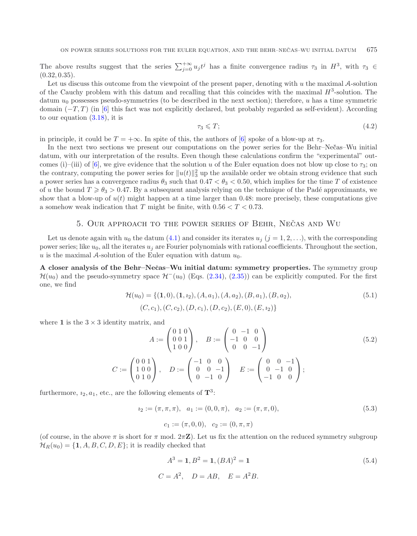The above results suggest that the series  $\sum_{j=0}^{+\infty} u_j t^j$  has a finite convergence radius  $\tau_3$  in  $H^3$ , with  $\tau_3 \in$  $(0.32, 0.35)$ .

Let us discuss this outcome from the viewpoint of the present paper, denoting with  $u$  the maximal  $A$ -solution of the Cauchy problem with this datum and recalling that this coincides with the maximal  $H^3$ -solution. The datum  $u_0$  possesses pseudo-symmetries (to be described in the next section); therefore, u has a time symmetric domain  $(-T, T)$  (in [\[6](#page-25-5)] this fact was not explicitly declared, but probably regarded as self-evident). According to our equation  $(3.18)$ , it is

$$
\tau_3 \leqslant T; \tag{4.2}
$$

in principle, it could be  $T = +\infty$ . In spite of this, the authors of [\[6\]](#page-25-5) spoke of a blow-up at  $\tau_3$ .

In the next two sections we present our computations on the power series for the Behr–Nec<sup>†</sup>as–Wu initial datum, with our interpretation of the results. Even though these calculations confirm the "experimental" out-comes (i)–(iii) of [\[6](#page-25-5)], we give evidence that the solution u of the Euler equation does not blow up close to  $\tau_3$ ; on the contrary, computing the power series for  $||u(t)||_3^2$  up the available order we obtain strong evidence that such a power series has a convergence radius  $\theta_3$  such that  $0.47 < \theta_3 < 0.50$ , which implies for the time T of existence of u the bound  $T \geqslant \theta_3 > 0.47$ . By a subsequent analysis relying on the technique of the Padé approximants, we show that a blow-up of  $u(t)$  might happen at a time larger than 0.48: more precisely, these computations give a somehow weak indication that T might be finite, with  $0.56 < T < 0.73$ .

## 5. OUR APPROACH TO THE POWER SERIES OF BEHR, NECAS AND WU

<span id="page-12-0"></span>Let us denote again with  $u_0$  the datum [\(4.1\)](#page-11-2) and consider its iterates  $u_j$  (j = 1, 2, ...), with the corresponding power series; like  $u_0$ , all the iterates  $u_i$  are Fourier polynomials with rational coefficients. Throughout the section, u is the maximal A-solution of the Euler equation with datum  $u_0$ .

**A** closer analysis of the Behr–Nečas–Wu initial datum: symmetry properties. The symmetry group  $\mathcal{H}(u_0)$  and the pseudo-symmetry space  $\mathcal{H}^{-}(u_0)$  (Eqs. [\(2.34\)](#page-7-4), [\(2.35\)](#page-7-5)) can be explicitly computed. For the first one, we find

<span id="page-12-3"></span>
$$
\mathcal{H}(u_0) = \{ (1,0), (1, i_2), (A, a_1), (A, a_2), (B, a_1), (B, a_2), (C, c_1), (C, c_2), (D, c_1), (D, c_2), (E, 0), (E, i_2) \}
$$
\n
$$
(5.1)
$$

<span id="page-12-2"></span>where 1 is the  $3 \times 3$  identity matrix, and

<span id="page-12-1"></span>
$$
A := \begin{pmatrix} 0 & 1 & 0 \\ 0 & 0 & 1 \\ 1 & 0 & 0 \end{pmatrix}, \quad B := \begin{pmatrix} 0 & -1 & 0 \\ -1 & 0 & 0 \\ 0 & 0 & -1 \end{pmatrix}
$$
(5.2)  

$$
C := \begin{pmatrix} 0 & 0 & 1 \\ 1 & 0 & 0 \\ 0 & 1 & 0 \end{pmatrix}, \quad D := \begin{pmatrix} -1 & 0 & 0 \\ 0 & 0 & -1 \\ 0 & -1 & 0 \end{pmatrix} \quad E := \begin{pmatrix} 0 & 0 & -1 \\ 0 & -1 & 0 \\ -1 & 0 & 0 \end{pmatrix};
$$

furthermore,  $i_2, a_1$ , etc., are the following elements of  $\mathbf{T}^3$ :

$$
i_2 := (\pi, \pi, \pi), \quad a_1 := (0, 0, \pi), \quad a_2 := (\pi, \pi, 0),
$$
  

$$
c_1 := (\pi, 0, 0), \quad c_2 := (0, \pi, \pi)
$$
 (5.3)

(of course, in the above  $\pi$  is short for  $\pi$  mod.  $2\pi Z$ ). Let us fix the attention on the reduced symmetry subgroup  $\mathcal{H}_R(u_0) = \{1, A, B, C, D, E\}$ ; it is readily checked that

$$
A3 = 1, B2 = 1, (BA)2 = 1
$$
\n
$$
C = A2, \quad D = AB, \quad E = A2B.
$$
\n(5.4)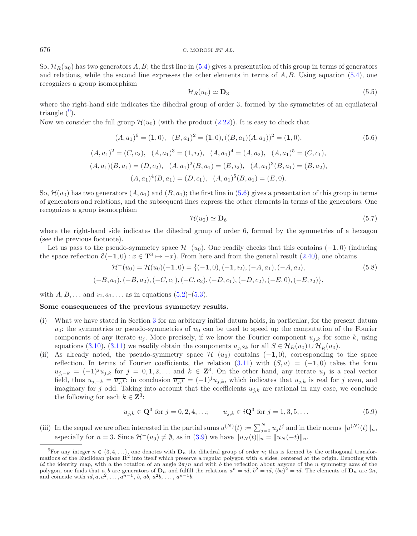So,  $\mathcal{H}_R(u_0)$  has two generators A, B; the first line in [\(5.4\)](#page-12-1) gives a presentation of this group in terms of generators and relations, while the second line expresses the other elements in terms of  $A, B$ . Using equation [\(5.4\)](#page-12-1), one recognizes a group isomorphism

<span id="page-13-2"></span>
$$
\mathcal{H}_R(u_0) \simeq \mathbf{D}_3 \tag{5.5}
$$

where the right-hand side indicates the dihedral group of order 3, formed by the symmetries of an equilateral triangle  $(9)$  $(9)$  $(9)$ .

Now we consider the full group  $\mathcal{H}(u_0)$  (with the product [\(2.22\)](#page-6-3)). It is easy to check that

$$
(A, a_1)^6 = (1, 0), (B, a_1)^2 = (1, 0), ((B, a_1)(A, a_1))^2 = (1, 0),
$$
  
\n
$$
(A, a_1)^2 = (C, c_2), (A, a_1)^3 = (1, i_2), (A, a_1)^4 = (A, a_2), (A, a_1)^5 = (C, c_1),
$$
  
\n
$$
(A, a_1)(B, a_1) = (D, c_2), (A, a_1)^2(B, a_1) = (E, i_2), (A, a_1)^3(B, a_1) = (B, a_2),
$$
  
\n
$$
(A, a_1)^4(B, a_1) = (D, c_1), (A, a_1)^5(B, a_1) = (E, 0).
$$
\n
$$
(5.6)
$$

So,  $\mathcal{H}(u_0)$  has two generators  $(A, a_1)$  and  $(B, a_1)$ ; the first line in [\(5.6\)](#page-13-2) gives a presentation of this group in terms of generators and relations, and the subsequent lines express the other elements in terms of the generators. One recognizes a group isomorphism

$$
\mathcal{H}(u_0) \simeq \mathbf{D}_6 \tag{5.7}
$$

where the right-hand side indicates the dihedral group of order 6, formed by the symmetries of a hexagon (see the previous footnote).

Let us pass to the pseudo-symmetry space  $\mathcal{H}^-(u_0)$ . One readily checks that this contains  $(-1, 0)$  (inducing the space reflection  $\mathcal{E}(-1, 0)$ :  $x \in \mathbf{T}^3 \mapsto -x$ ). From here and from the general result [\(2.40\)](#page-8-3), one obtains

<span id="page-13-0"></span>
$$
\mathcal{H}^{-}(u_{0}) = \mathcal{H}(u_{0})(-1,0) = \{(-1,0), (-1, i_{2}), (-A, a_{1}), (-A, a_{2}),(-B, a_{1}), (-B, a_{2}), (-C, c_{1}), (-C, c_{2}), (-D, c_{1}), (-D, c_{2}), (-E, 0), (-E, i_{2})\},
$$
\n
$$
(5.8)
$$

with  $A, B, ...$  and  $i_2, a_1, ...$  as in equations  $(5.2)$ – $(5.3)$ .

#### **Some consequences of the previous symmetry results.**

- (i) What we have stated in Section [3](#page-8-0) for an arbitrary initial datum holds, in particular, for the present datum  $u_0$ : the symmetries or pseudo-symmetries of  $u_0$  can be used to speed up the computation of the Fourier components of any iterate  $u_i$ . More precisely, if we know the Fourier component  $u_{i,k}$  for some k, using equations [\(3.10\)](#page-9-4), [\(3.11\)](#page-9-5) we readily obtain the components  $u_{j,Sk}$  for all  $S \in \mathcal{H}_R(u_0) \cup \mathcal{H}_R^-(u_0)$ .
- <span id="page-13-1"></span>(ii) As already noted, the pseudo-symmetry space  $\mathcal{H}^-(u_0)$  contains (-**1**, 0), corresponding to the space reflection. In terms of Fourier coefficients, the relation  $(3.11)$  with  $(S, a) = (-1, 0)$  takes the form  $u_{j,-k} = (-1)^j u_{j,k}$  for  $j = 0,1,2,...$  and  $k \in \mathbb{Z}^3$ . On the other hand, any iterate  $u_j$  is a real vector field, thus  $u_{j,-k} = \overline{u_{j,k}}$ ; in conclusion  $\overline{u_{j,k}} = (-1)^j u_{j,k}$ , which indicates that  $u_{j,k}$  is real for j even, and imaginary for j odd. Taking into account that the coefficients  $u_{i,k}$  are rational in any case, we conclude the following for each  $k \in \mathbb{Z}^3$ :

$$
u_{j,k} \in \mathbf{Q}^3 \text{ for } j = 0, 2, 4, \dots; \qquad u_{j,k} \in i\mathbf{Q}^3 \text{ for } j = 1, 3, 5, \dots \tag{5.9}
$$

(iii) In the sequel we are often interested in the partial sums  $u^{(N)}(t) := \sum_{j=0}^{N} u_j t^j$  and in their norms  $||u^{(N)}(t)||_n$ , especially for  $n = 3$ . Since  $\mathcal{H}^-(u_0) \neq \emptyset$ , as in  $(3.9)$  we have  $||u_N(t)||_n = ||u_N(-t)||_n$ .

<sup>&</sup>lt;sup>9</sup>For any integer  $n \in \{3, 4, \ldots\}$ , one denotes with  $D_n$  the dihedral group of order n; this is formed by the orthogonal transformations of the Euclidean plane  $\mathbb{R}^2$  into itself which preserve a regular polygon with n sides, centered at the origin. Denoting with id the identity map, with a the rotation of an angle  $2\pi/n$  and with b the reflection about anyone of the n symmetry axes of the polygon, one finds that  $a, b$  are generators of  $\mathbf{D}_n$  and fulfill the relations  $a^n = id$ ,  $b^2 = id$ ,  $(ba)^2 = id$ . The elements of  $\mathbf{D}_n$  are  $2n$ , and coincide with  $id, a, a^2, \ldots, a^{n-1}, b, ab, a^2b, \ldots, a^{n-1}b$ .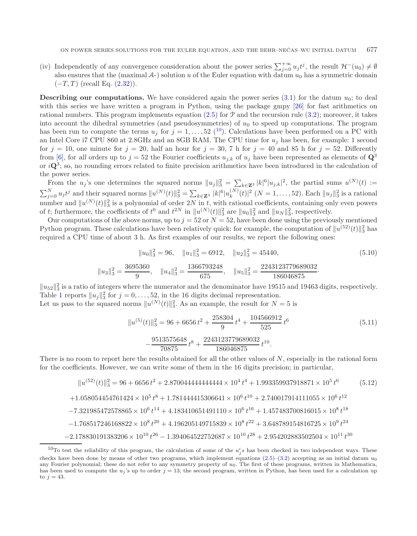(iv) Independently of any convergence consideration about the power series  $\sum_{j=0}^{+\infty} u_j t^j$ , the result  $\mathcal{H}^-(u_0) \neq \emptyset$ also ensures that the (maximal  $\mathcal{A}$ -) solution u of the Euler equation with datum u<sub>0</sub> has a symmetric domain  $(-T, T)$  (recall Eq.  $(2.32)$ ).

**Describing our computations.** We have considered again the power series  $(3.1)$  for the datum  $u_0$ ; to deal with this series we have written a program in Python, using the package gmpy [\[26](#page-25-22)] for fast arithmetics on rational numbers. This program implements equation  $(2.5)$  for P and the recursion rule  $(3.2)$ ; moreover, it takes into account the dihedral symmetries (and pseudosymmetries) of  $u_0$  to speed up computations. The program has been run to compute the terms  $u_j$  for  $j = 1, \ldots, 52$  (<sup>[10](#page-14-0)</sup>). Calculations have been performed on a PC with an Intel Core i7 CPU 860 at 2.8GHz and an 8GB RAM. The CPU time for  $u_i$  has been, for example: 1 second for  $j = 10$ , one minute for  $j = 20$ , half an hour for  $j = 30$ , 7 h for  $j = 40$  and 85 h for  $j = 52$ . Differently from [\[6](#page-25-5)], for all orders up to  $j = 52$  the Fourier coefficients  $u_{j,k}$  of  $u_j$  have been represented as elements of  $\mathbf{Q}^3$ or i**Q**3; so, no rounding errors related to finite precision arithmetics have been introduced in the calculation of the power series.

From the u<sub>j</sub>'s one determines the squared norms  $||u_j||_3^2 = \sum_{k \in \mathbb{Z}^3} |k|^6 |u_{j,k}|^2$ , the partial sums  $u^{(N)}(t) :=$  $\sum_{j=0}^{N} u_j t^j$  and their squared norms  $||u^{(N)}(t)||_3^2 = \sum_{k \in \mathbf{Z}^3} |k|^6 |u_k^{(N)}(t)|^2$   $(N = 1, ..., 52)$ . Each  $||u_j||_3^2$  is a rational number and  $||u^{(N)}(t)||_3^2$  is a polynomial of order 2N in t, with rational coefficients, containing only even powers of t; furthermore, the coefficients of  $t^0$  and  $t^{2N}$  in  $||u^{(N)}(t)||_3^2$  are  $||u_0||_3^2$  and  $||u_N||_3^2$ , respectively.

Our computations of the above norms, up to  $j = 52$  or  $N = 52$ , have been done using the previously mentioned Python program. These calculations have been relatively quick: for example, the computation of  $||u^{(52)}(t)||_3^2$  has required a CPU time of about 3 h. As first examples of our results, we report the following ones:

$$
||u_0||_3^2 = 96, \quad ||u_1||_3^2 = 6912, \quad ||u_2||_3^2 = 45440,
$$
\n
$$
||u_3||_3^2 = \frac{3695360}{9}, \quad ||u_4||_3^2 = \frac{1366793248}{675}, \quad ||u_5||_3^2 = \frac{2243123779689032}{186046875}.
$$
\n
$$
(5.10)
$$

 $\|u_{52}\|_3^2$  is a ratio of integers where the numerator and the denominator have 19515 and 19463 digits, respectively. Table [1](#page-16-0) reports  $||u_j||_3^2$  for  $j = 0, \ldots, 52$ , in the 16 digits decimal representation.

Let us pass to the squared norms  $||u^{(N)}(t)||_3^2$ . As an example, the result for  $N = 5$  is

<span id="page-14-1"></span>
$$
||u^{(5)}(t)||_3^2 = 96 + 6656t^2 + \frac{258304}{9}t^4 + \frac{104566912}{525}t^6
$$
  

$$
-\frac{9513575648}{70875}t^8 + \frac{2243123779689032}{186046875}t^{10}.
$$
 (5.11)

<span id="page-14-0"></span>There is no room to report here the results obtained for all the other values of  $N$ , especially in the rational form for the coefficients. However, we can write some of them in the 16 digits precision; in particular,

$$
||u^{(52)}(t)||_3^2 = 96 + 6656 t^2 + 2.87004444444444 \times 10^4 t^4 + 1.993359937918871 \times 10^5 t^6 \qquad (5.12)
$$
  
+1.058054454761424 × 10<sup>5</sup> t<sup>8</sup> + 1.781444415306641 × 10<sup>6</sup> t<sup>10</sup> + 2.740017914111055 × 10<sup>6</sup> t<sup>12</sup>  
-7.321985472578865 × 10<sup>6</sup> t<sup>14</sup> + 4.183410651491110 × 10<sup>6</sup> t<sup>16</sup> + 1.457483700816015 × 10<sup>8</sup> t<sup>18</sup>  
-1.768517246168822 × 10<sup>8</sup> t<sup>20</sup> + 4.196205149715839 × 10<sup>8</sup> t<sup>22</sup> + 3.648789154816725 × 10<sup>9</sup> t<sup>24</sup>  
-2.178830191383206 × 10<sup>10</sup> t<sup>26</sup> - 1.394064522752687 × 10<sup>10</sup> t<sup>28</sup> + 2.954202883502504 × 10<sup>11</sup> t<sup>30</sup>

<sup>&</sup>lt;sup>10</sup>To test the reliability of this program, the calculation of some of the  $u'_j s$  has been checked in two independent ways. These checks have been done by means of other two programs, which implement equations  $(2.5)$ – $(3.2)$  accepting as an initial datum  $u_0$ any Fourier polynomial; these do not refer to any symmetry property of  $u_0$ . The first of these programs, written in Mathematica, has been used to compute the  $u_j$ 's up to order  $j = 13$ ; the second program, written in Python, has been used for a calculation up to  $j = 43$ .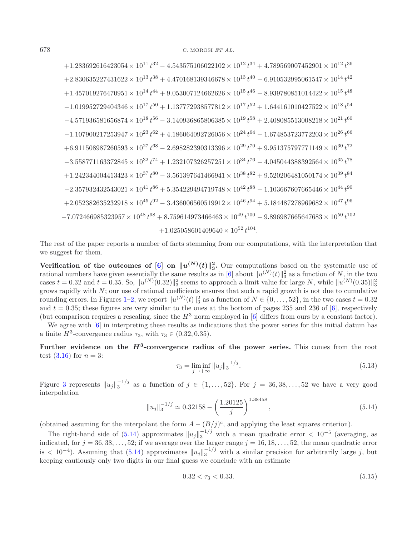$+1.283692616423054 \times 10^{11} t^{32} - 4.543575106022102 \times 10^{12} t^{34} + 4.789569007452901 \times 10^{12} t^{36}$  $+2.830635227431622 \times 10^{13} t^{38} + 4.470168139346678 \times 10^{13} t^{40} - 6.910532995061547 \times 10^{14} t^{42}$  $+1.457019276470951 \times 10^{14} t^{44} + 9.053007124662626 \times 10^{15} t^{46} - 8.939780851014422 \times 10^{15} t^{48}$  $-1.019952729404346 \times 10^{17} t^{50} + 1.137772938577812 \times 10^{17} t^{52} + 1.644161010427522 \times 10^{18} t^{54}$  $-4.571936581656874 \times 10^{18} t^{56} - 3.140936865806385 \times 10^{19} t^{58} + 2.408085513008218 \times 10^{21} t^{60}$  $-1.107900217253947 \times 10^{23} t^{62} + 4.186064092726056 \times 10^{24} t^{64} - 1.674853723772203 \times 10^{26} t^{66}$  $+6.911508987260593 \times 10^{27} t^{68} - 2.698282390313396 \times 10^{29} t^{70} + 9.951375797771149 \times 10^{30} t^{72}$  $-3.558771163372845 \times 10^{32} t^{74} + 1.232107326257251 \times 10^{34} t^{76} - 4.045044388392564 \times 10^{35} t^{78}$  $+1.242344004413423 \times 10^{37} t^{80} - 3.561397641466941 \times 10^{38} t^{82} + 9.520206481050174 \times 10^{39} t^{84}$  $-2.357932432543021 \times 10^{41} t^{86} + 5.354229494719748 \times 10^{42} t^{88} - 1.103667607665446 \times 10^{44} t^{90}$  $+2.052382635232918 \times 10^{45} t^{92} - 3.436006560519912 \times 10^{46} t^{94} + 5.184487278969682 \times 10^{47} t^{96}$  $-7.072466985323957 \times 10^{48} t^{98} + 8.759614973466463 \times 10^{49} t^{100} - 9.896987665647683 \times 10^{50} t^{102}$  $+1.025058601409640 \times 10^{52} t^{104}.$ 

The rest of the paper reports a number of facts stemming from our computations, with the interpretation that we suggest for them.

<span id="page-15-0"></span>**Verification of the outcomes of**  $[6]$  $[6]$  **on**  $||u^{(N)}(t)||_3^2$ **. Our computations based on the systematic use of** rational numbers have given essentially the same results as in [\[6\]](#page-25-5) about  $||u^{(N)}(t)||_3^2$  as a function of N, in the two cases  $t = 0.32$  and  $t = 0.35$ . So,  $||u^{(N)}(0.32)||_3^2$  seems to approach a limit value for large N, while  $||u^{(N)}(0.35)||_3^2$ grows rapidly with  $N$ ; our use of rational coefficients ensures that such a rapid growth is not due to cumulative rounding errors. In Figures [1](#page-17-0)[–2,](#page-17-1) we report  $||u^{(N)}(t)||_3^2$  as a function of  $N \in \{0, \ldots, 52\}$ , in the two cases  $t = 0.32$ and  $t = 0.35$ ; these figures are very similar to the ones at the bottom of pages 235 and 236 of [\[6\]](#page-25-5), respectively (but comparison requires a rescaling, since the  $H^3$  norm employed in [\[6\]](#page-25-5) differs from ours by a constant factor).

We agree with  $[6]$  in interpreting these results as indications that the power series for this initial datum has a finite  $H^3$ -convergence radius  $\tau_3$ , with  $\tau_3 \in (0.32, 0.35)$ .

Further evidence on the  $H^3$ -convergence radius of the power series. This comes from the root test  $(3.16)$  for  $n = 3$ :

<span id="page-15-1"></span>
$$
\tau_3 = \liminf_{j \to +\infty} \|u_j\|_3^{-1/j}.\tag{5.13}
$$

Figure [3](#page-17-2) represents  $||u_j||_3^{-1/j}$  as a function of  $j \in \{1,\ldots,52\}$ . For  $j = 36,38,\ldots,52$  we have a very good interpolation <sup>1</sup>.<sup>38458</sup>

$$
||u_j||_3^{-1/j} \simeq 0.32158 - \left(\frac{1.20125}{j}\right)^{1.38458},\tag{5.14}
$$

(obtained assuming for the interpolant the form  $A - (B/j)^c$ , and applying the least squares criterion).

The right-hand side of  $(5.14)$  approximates  $||u_j||_3^{-1/j}$  with a mean quadratic error  $\lt 10^{-5}$  (averaging, as indicated, for  $j = 36, 38, \ldots, 52$ ; if we average over the larger range  $j = 16, 18, \ldots, 52$ , the mean quadratic error is  $< 10^{-4}$ ). Assuming that [\(5.14\)](#page-15-0) approximates  $||u_j||_3^{-1/j}$  with a similar precision for arbitrarily large j, but keeping cautiously only two digits in our final guess we conclude with an estimate

$$
0.32 < \tau_3 < 0.33. \tag{5.15}
$$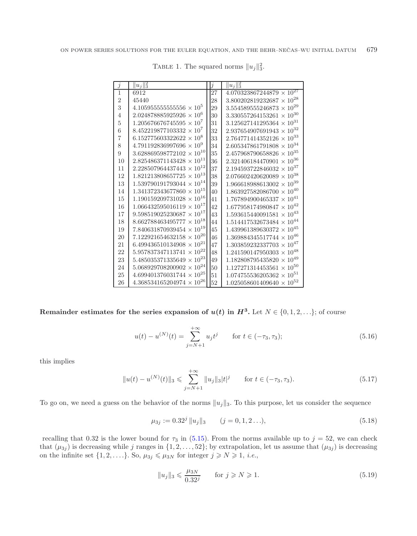| Ĵ              | $  u_j  _3^2$                      | j  | $  u_j  _3^2$                      |
|----------------|------------------------------------|----|------------------------------------|
| 1              | 6912                               | 27 | $4.070323867244879 \times 10^{27}$ |
| $\overline{2}$ | 45440                              | 28 | $3.800202819232687 \times 10^{28}$ |
| 3              | $4.105955555555556 \times 10^5$    | 29 | $3.554589555246873 \times 10^{29}$ |
| 4              | $2.024878885925926 \times 10^6$    | 30 | $3.330557264153261 \times 10^{30}$ |
| 5              | $1.205676676745595 \times 10^7$    | 31 | $3.125627141295364 \times 10^{31}$ |
| 6              | $8.452219877103332 \times 10^7$    | 32 | $2.937654907691943 \times 10^{32}$ |
| 7              | $6.152775603322622 \times 10^8$    | 33 | $2.764771414352126 \times 10^{33}$ |
| 8              | $4.791192836997696 \times 10^9$    | 34 | $2.605347861791808 \times 10^{34}$ |
| 9              | $3.628869598772102 \times 10^{10}$ | 35 | $2.457968790658826 \times 10^{35}$ |
| 10             | $2.825486371143428 \times 10^{11}$ | 36 | $2.321406184470901 \times 10^{36}$ |
| 11             | $2.228507964437443 \times 10^{12}$ | 37 | $2.194593722846032 \times 10^{37}$ |
| 12             | $1.821213808657725 \times 10^{13}$ | 38 | $2.076602420620089 \times 10^{38}$ |
| 13             | $1.539790191793044 \times 10^{14}$ | 39 | $1.966618988613002 \times 10^{39}$ |
| 14             | $1.341372343677860 \times 10^{15}$ | 40 | $1.863927582086700 \times 10^{40}$ |
| 15             | $1.190159209731028 \times 10^{16}$ | 41 | $1.767894900465337 \times 10^{41}$ |
| 16             | $1.066432595016119 \times 10^{17}$ | 42 | $1.677958174980847 \times 10^{42}$ |
| 17             | $9.598519025230687 \times 10^{17}$ | 43 | $1.593615440091581 \times 10^{43}$ |
| 18             | $8.662788463495777 \times 10^{18}$ | 44 | $1.514417532673484 \times 10^{44}$ |
| 19             | $7.840631870939454 \times 10^{19}$ | 45 | $1.439961389630372 \times 10^{45}$ |
| 20             | $7.122921654632158 \times 10^{20}$ | 46 | $1.369884345517744 \times 10^{46}$ |
| 21             | $6.499436510134908 \times 10^{21}$ | 47 | $1.303859232337703 \times 10^{47}$ |
| 22             | $5.957837347113741 \times 10^{22}$ | 48 | $1.241590147950303 \times 10^{48}$ |
| 23             | $5.485035371335649 \times 10^{23}$ | 49 | $1.182808795435820 \times 10^{49}$ |
| 24             | $5.068929708200902 \times 10^{24}$ | 50 | $1.127271314453561 \times 10^{50}$ |
| 25             | $4.699401376031744 \times 10^{25}$ | 51 | $1.074755536205362 \times 10^{51}$ |
| 26             | $4.368534165204974 \times 10^{26}$ | 52 | $1.025058601409640 \times 10^{52}$ |

<span id="page-16-0"></span>TABLE 1. The squared norms  $||u_j||_3^2$ .

<span id="page-16-1"></span>**Remainder estimates for the series expansion of**  $u(t)$  **in**  $H^3$ **. Let**  $N \in \{0, 1, 2, \ldots\}$ **; of course** 

$$
u(t) - u^{(N)}(t) = \sum_{j=N+1}^{+\infty} u_j t^j \qquad \text{for } t \in (-\tau_3, \tau_3); \tag{5.16}
$$

this implies

$$
||u(t) - u^{(N)}(t)||_3 \le \sum_{j=N+1}^{+\infty} ||u_j||_3 |t|^j \quad \text{for } t \in (-\tau_3, \tau_3). \tag{5.17}
$$

To go on, we need a guess on the behavior of the norms  $||u_j||_3$ . To this purpose, let us consider the sequence

$$
\mu_{3j} := 0.32^j \, \|u_j\|_3 \qquad (j = 0, 1, 2 \ldots), \tag{5.18}
$$

recalling that 0.32 is the lower bound for  $\tau_3$  in [\(5.15\)](#page-15-1). From the norms available up to  $j = 52$ , we can check that  $(\mu_{3j})$  is decreasing while j ranges in  $\{1, 2, \ldots, 52\}$ ; by extrapolation, let us assume that  $(\mu_{3j})$  is decreasing on the infinite set  $\{1, 2, \ldots\}$ . So,  $\mu_{3j} \leq \mu_{3N}$  for integer  $j \geq N \geq 1$ , *i.e.*,

$$
||u_j||_3 \leqslant \frac{\mu_{3N}}{0.32^j} \qquad \text{for } j \geqslant N \geqslant 1. \tag{5.19}
$$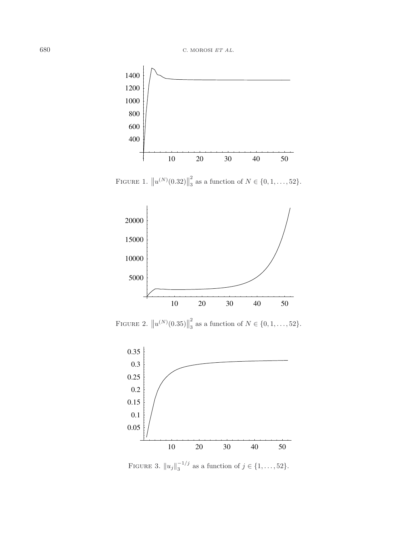<span id="page-17-0"></span>

FIGURE 1.  $||u^{(N)}(0.32)||$  $\frac{2}{3}$  as a function of  $N \in \{0, 1, ..., 52\}.$ 

<span id="page-17-1"></span>

FIGURE 2.  $||u^{(N)}(0.35)||$  $\frac{2}{3}$  as a function of  $N \in \{0, 1, ..., 52\}.$ 

<span id="page-17-2"></span>

FIGURE 3.  $||u_j||_3^{-1/j}$  as a function of  $j \in \{1, ..., 52\}$ .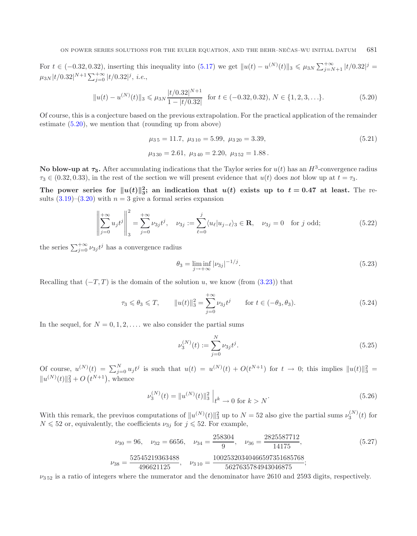<span id="page-18-0"></span>For  $t \in (-0.32, 0.32)$ , inserting this inequality into  $(5.17)$  we get  $||u(t) - u^{(N)}(t)||_3 \le \mu_{3N} \sum_{j=N+1}^{+\infty} |t/0.32|^j =$  $\mu_{3N}|t/0.32|^{N+1}\sum_{j=0}^{+\infty}|t/0.32|^{j}, i.e.,$ 

$$
||u(t) - u^{(N)}(t)||_3 \le \mu_{3N} \frac{|t/0.32|^{N+1}}{1 - |t/0.32|} \text{ for } t \in (-0.32, 0.32), N \in \{1, 2, 3, \ldots\}.
$$
 (5.20)

Of course, this is a conjecture based on the previous extrapolation. For the practical application of the remainder estimate [\(5.20\)](#page-18-0), we mention that (rounding up from above)

<span id="page-18-3"></span><span id="page-18-2"></span>
$$
\mu_{3\,5} = 11.7, \ \mu_{3\,10} = 5.99, \ \mu_{3\,20} = 3.39, \n\mu_{3\,30} = 2.61, \ \mu_{3\,40} = 2.20, \ \mu_{3\,52} = 1.88.
$$
\n(5.21)

**No blow-up at**  $\tau_3$ **. After accumulating indications that the Taylor series for**  $u(t)$  **has an**  $H^3$ **-convergence radius**  $\tau_3 \in (0.32, 0.33)$ , in the rest of the section we will present evidence that  $u(t)$  does not blow up at  $t = \tau_3$ .

The power series for  $||u(t)||_3^2$ ; an indication that  $u(t)$  exists up to  $t = 0.47$  at least. The results  $(3.19)$ – $(3.20)$  with  $n = 3$  give a formal series expansion

$$
\left\| \sum_{j=0}^{+\infty} u_j t^j \right\|_3^2 = \sum_{j=0}^{+\infty} \nu_{3j} t^j, \quad \nu_{3j} := \sum_{\ell=0}^j \langle u_\ell | u_{j-\ell} \rangle_3 \in \mathbf{R}, \quad \nu_{3j} = 0 \quad \text{for } j \text{ odd};
$$
 (5.22)

the series  $\sum_{j=0}^{+\infty} \nu_{3j} t^j$  has a convergence radius

$$
\theta_3 = \liminf_{j \to +\infty} |\nu_{3j}|^{-1/j}.
$$
\n(5.23)

Recalling that  $(-T, T)$  is the domain of the solution u, we know (from [\(3.23\)](#page-11-3)) that

<span id="page-18-1"></span>
$$
\tau_3 \le \theta_3 \le T, \qquad \|u(t)\|_3^2 = \sum_{j=0}^{+\infty} \nu_{3j} t^j \qquad \text{for } t \in (-\theta_3, \theta_3). \tag{5.24}
$$

In the sequel, for  $N = 0, 1, 2, \ldots$  we also consider the partial sums

$$
\nu_3^{(N)}(t) := \sum_{j=0}^{N} \nu_{3j} t^j.
$$
\n(5.25)

Of course,  $u^{(N)}(t) = \sum_{j=0}^{N} u_j t^j$  is such that  $u(t) = u^{(N)}(t) + O(t^{N+1})$  for  $t \to 0$ ; this implies  $||u(t)||_3^2$  $||u^{(N)}(t)||_3^2 + O(t^{N+1}),$  whence

$$
\nu_3^{(N)}(t) = \|u^{(N)}(t)\|_3^2 \Big|_{t^k \to 0 \text{ for } k > N}.\tag{5.26}
$$

With this remark, the previuos computations of  $||u^{(N)}(t)||_3^2$  up to  $N = 52$  also give the partial sums  $\nu_3^{(N)}(t)$  for  $N \leq 52$  or, equivalently, the coefficients  $\nu_{3j}$  for  $j \leq 52$ . For example,

$$
\nu_{30} = 96, \quad \nu_{32} = 6656, \quad \nu_{34} = \frac{258304}{9}, \quad \nu_{36} = \frac{2825587712}{14175},
$$
\n
$$
\nu_{38} = \frac{52545219363488}{496621125}, \quad \nu_{310} = \frac{10025320340466597351685768}{5627635784943046875};
$$
\n
$$
(5.27)
$$

 $\nu_{352}$  is a ratio of integers where the numerator and the denominator have 2610 and 2593 digits, respectively.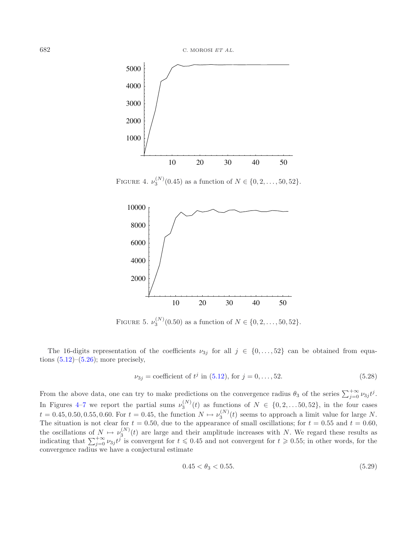<span id="page-19-0"></span>

FIGURE 4.  $\nu_3^{(N)}(0.45)$  as a function of  $N \in \{0, 2, ..., 50, 52\}.$ 



FIGURE 5.  $\nu_3^{(N)}(0.50)$  as a function of  $N \in \{0, 2, ..., 50, 52\}.$ 

The 16-digits representation of the coefficients  $\nu_{3j}$  for all  $j \in \{0,\ldots,52\}$  can be obtained from equations  $(5.12)$ – $(5.26)$ ; more precisely,

<span id="page-19-1"></span>
$$
\nu_{3j} = \text{coefficient of } t^j \text{ in (5.12), for } j = 0, \dots, 52. \tag{5.28}
$$

From the above data, one can try to make predictions on the convergence radius  $\theta_3$  of the series  $\sum_{j=0}^{+\infty} \nu_{3j} t^j$ . In Figures [4–](#page-19-0)[7](#page-20-1) we report the partial sums  $\nu_3^{(N)}(t)$  as functions of  $N \in \{0, 2, \ldots, 50, 52\}$ , in the four cases  $t = 0.45, 0.50, 0.55, 0.60$ . For  $t = 0.45$ , the function  $N \mapsto \nu_3^{(N)}(t)$  seems to approach a limit value for large N. The situation is not clear for  $t = 0.50$ , due to the appearance of small oscillations; for  $t = 0.55$  and  $t = 0.60$ , the oscillations of  $N \mapsto \nu_3^{(N)}(t)$  are large and their amplitude increases with N. We regard these results as indicating that  $\sum_{j=0}^{+\infty} \nu_{3j} t^j$  is convergent for  $t \leq 0.45$  and not convergent for  $t \geq 0.55$ ; in other words, for the convergence radius we have a conjectural estimate

$$
0.45 < \theta_3 < 0.55. \tag{5.29}
$$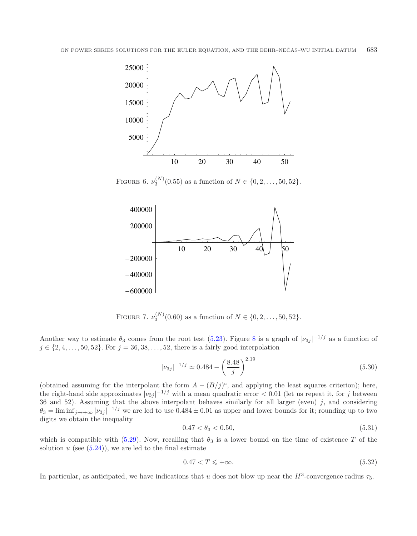

FIGURE 6.  $\nu_3^{(N)}(0.55)$  as a function of  $N \in \{0, 2, ..., 50, 52\}.$ 

<span id="page-20-2"></span><span id="page-20-1"></span>

<span id="page-20-0"></span>FIGURE 7.  $\nu_3^{(N)}(0.60)$  as a function of  $N \in \{0, 2, ..., 50, 52\}.$ 

Another way to estimate  $\theta_3$  comes from the root test [\(5.23\)](#page-18-2). Figure [8](#page-21-1) is a graph of  $|\nu_{3j}|^{-1/j}$  as a function of  $j \in \{2, 4, ..., 50, 52\}$ . For  $j = 36, 38, ..., 52$ , there is a fairly good interpolation

$$
|\nu_{3j}|^{-1/j} \simeq 0.484 - \left(\frac{8.48}{j}\right)^{2.19} \tag{5.30}
$$

(obtained assuming for the interpolant the form  $A - (B/j)^c$ , and applying the least squares criterion); here, the right-hand side approximates  $|\nu_{3j}|^{-1/j}$  with a mean quadratic error  $< 0.01$  (let us repeat it, for j between 36 and 52). Assuming that the above interpolant behaves similarly for all larger (even)  $j$ , and considering  $\theta_3 = \liminf_{j \to +\infty} |\nu_{3j}|^{-1/j}$  we are led to use  $0.484 \pm 0.01$  as upper and lower bounds for it; rounding up to two digits we obtain the inequality

$$
0.47 < \theta_3 < 0.50,\tag{5.31}
$$

which is compatible with [\(5.29\)](#page-19-1). Now, recalling that  $\theta_3$  is a lower bound on the time of existence T of the solution  $u$  (see  $(5.24)$ ), we are led to the final estimate

$$
0.47 < T \leqslant +\infty. \tag{5.32}
$$

In particular, as anticipated, we have indications that u does not blow up near the  $H^3$ -convergence radius  $\tau_3$ .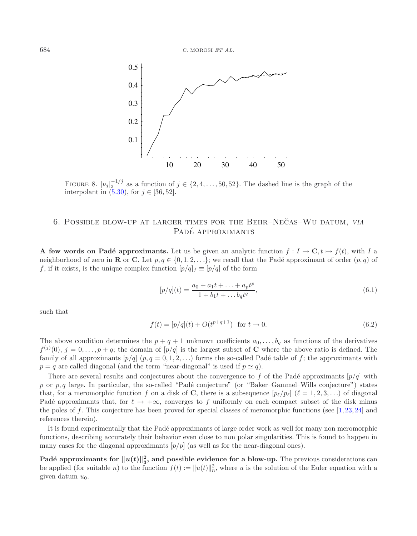<span id="page-21-1"></span>

FIGURE 8.  $|\nu_j|_3^{-1/j}$  as a function of  $j \in \{2, 4, ..., 50, 52\}$ . The dashed line is the graph of the interpolant in  $(5.30)$ , for  $j \in [36, 52]$ .

# <span id="page-21-3"></span>6. POSSIBLE BLOW-UP AT LARGER TIMES FOR THE BEHR–NECAS–WU DATUM, VIA PADÉ APPROXIMANTS

<span id="page-21-0"></span>**A few words on Padé approximants.** Let us be given an analytic function  $f: I \to \mathbb{C}, t \mapsto f(t)$ , with I a neighborhood of zero in **R** or **C**. Let  $p, q \in \{0, 1, 2, \ldots\}$ ; we recall that the Padé approximant of order  $(p, q)$  of f, if it exists, is the unique complex function  $[p/q]_f \equiv [p/q]$  of the form

<span id="page-21-2"></span>
$$
[p/q](t) = \frac{a_0 + a_1t + \dots + a_pt^p}{1 + b_1t + \dots + b_qt^q},\tag{6.1}
$$

such that

$$
f(t) = [p/q](t) + O(t^{p+q+1}) \text{ for } t \to 0.
$$
 (6.2)

The above condition determines the  $p + q + 1$  unknown coefficients  $a_0, \ldots, b_q$  as functions of the derivatives  $f^{(j)}(0), j = 0, \ldots, p + q$ ; the domain of  $[p/q]$  is the largest subset of **C** where the above ratio is defined. The family of all approximants  $[p/q]$   $(p, q = 0, 1, 2, \ldots)$  forms the so-called Padé table of f; the approximants with  $p = q$  are called diagonal (and the term "near-diagonal" is used if  $p \simeq q$ ).

There are several results and conjectures about the convergence to f of the Padé approximants  $[p/q]$  with p or p, q large. In particular, the so-called "Padé conjecture" (or "Baker–Gammel–Wills conjecture") states that, for a meromorphic function f on a disk of **C**, there is a subsequence  $[p_{\ell}/p_{\ell}]$  ( $\ell = 1, 2, 3, ...$ ) of diagonal Padé approximants that, for  $\ell \to +\infty$ , converges to f uniformly on each compact subset of the disk minus the poles of f. This conjecture has been proved for special classes of meromorphic functions (see  $[1, 23, 24]$  $[1, 23, 24]$  $[1, 23, 24]$  $[1, 23, 24]$  $[1, 23, 24]$  and references therein).

It is found experimentally that the Padé approximants of large order work as well for many non meromorphic functions, describing accurately their behavior even close to non polar singularities. This is found to happen in many cases for the diagonal approximants  $[p/p]$  (as well as for the near-diagonal ones).

Padé approximants for  $||u(t)||_3^2$ , and possible evidence for a blow-up. The previous considerations can be applied (for suitable *n*) to the function  $f(t) := ||u(t)||_n^2$ , where *u* is the solution of the Euler equation with a given datum  $u_0$ .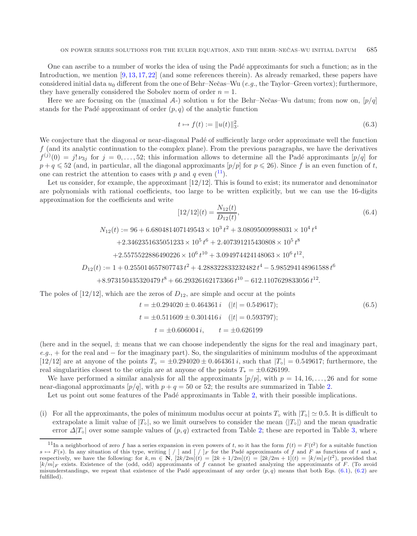One can ascribe to a number of works the idea of using the Padé approximants for such a function; as in the Introduction, we mention [\[9](#page-25-2), [13](#page-25-1), [17,](#page-25-0) [22\]](#page-25-3) (and some references therein). As already remarked, these papers have considered initial data u<sub>0</sub> different from the one of Behr–Nečas–Wu (*e.g.*, the Taylor–Green vortex); furthermore, they have generally considered the Sobolev norm of order  $n = 1$ .

Here we are focusing on the (maximal  $A$ -) solution u for the Behr–Nečas–Wu datum; from now on,  $[p/q]$ stands for the Padé approximant of order  $(p, q)$  of the analytic function

$$
t \mapsto f(t) := \|u(t)\|_3^2. \tag{6.3}
$$

We conjecture that the diagonal or near-diagonal Padé of sufficiently large order approximate well the function  $f$  (and its analytic continuation to the complex plane). From the previous paragraphs, we have the derivatives  $f^{(j)}(0) = j! \nu_{3j}$  for  $j = 0, \ldots, 52$ ; this information allows to determine all the Padé approximants  $[p/q]$  for  $p+q \leq 52$  (and, in particular, all the diagonal approximants  $[p/p]$  for  $p \leq 26$ ). Since f is an even function of t, one can restrict the attention to cases with p and q even  $(11)$  $(11)$  $(11)$ .

Let us consider, for example, the approximant  $[12/12]$ . This is found to exist; its numerator and denominator are polynomials with rational coefficients, too large to be written explicitly, but we can use the 16-digits approximation for the coefficients and write

$$
[12/12](t) = \frac{N_{12}(t)}{D_{12}(t)},
$$
\n(6.4)

$$
N_{12}(t) := 96 + 6.680481407149543 \times 10^3 t^2 + 3.08095009988031 \times 10^4 t^4
$$

 $+2.3462351635051233 \times 10^5 t^6 + 2.407391215430808 \times 10^5 t^8$ 

 $+2.5575522886490226 \times 10^6 t^{10} + 3.094974424148063 \times 10^6 t^{12}$ 

$$
D_{12}(t) := 1 + 0.255014657807743 t^2 + 4.288322833232482 t^4 - 5.985294148961588 t^6
$$

$$
+8.973150435320479 \, t^8 + 66.29326162173366 \, t^{10} - 612.1107629833056 \, t^{12}.
$$

The poles of  $[12/12]$ , which are the zeros of  $D_{12}$ , are simple and occur at the points

$$
t = \pm 0.294020 \pm 0.464361 i \quad (|t| = 0.549617);
$$
  
\n
$$
t = \pm 0.511609 \pm 0.301416 i \quad (|t| = 0.593797);
$$
  
\n
$$
t = \pm 0.606004 i, \qquad t = \pm 0.626199
$$
 (6.5)

<span id="page-22-0"></span>(here and in the sequel,  $\pm$  means that we can choose independently the signs for the real and imaginary part, *e.g.*, + for the real and − for the imaginary part). So, the singularities of minimum modulus of the approximant [12/12] are at anyone of the points  $T<sub>o</sub> = \pm 0.294020 \pm 0.464361 i$ , such that  $|T<sub>o</sub>| = 0.549617$ ; furthermore, the real singularities closest to the origin are at anyone of the points  $T_* = \pm 0.626199$ .

We have performed a similar analysis for all the approximants  $[p/p]$ , with  $p = 14, 16, \ldots, 26$  and for some near-diagonal approximants  $[p/q]$ , with  $p + q = 50$  or 52; the results are summarized in Table [2.](#page-23-0)

Let us point out some features of the Padé approximants in Table [2,](#page-23-0) with their possible implications.

(i) For all the approximants, the poles of minimum modulus occur at points  $T_{\circ}$  with  $|T_{\circ}| \simeq 0.5$ . It is difficult to extrapolate a limit value of  $|T_{\circ}|$ , so we limit ourselves to consider the mean  $\langle |T_{\circ}| \rangle$  and the mean quadratic error  $\Delta |T_{\circ}|$  over some sample values of  $(p, q)$  extracted from Table [2;](#page-23-0) these are reported in Table [3,](#page-23-1) where

<sup>&</sup>lt;sup>11</sup>In a neighborhood of zero f has a series expansion in even powers of t, so it has the form  $f(t) = F(t^2)$  for a suitable function  $s \mapsto F(s)$ . In any situation of this type, writing  $[\ ]$  and  $[\ ]$  for the Padé approximants of f and F as functions of t and s, respectively, we have the following: for  $k,m \in \mathbb{N}$ ,  $[2k/2m](t) = [2k+1/2m](t) = [2k/2m+1](t) = [k/m]_F(t^2)$ , provided that  $[k/m]_F$  exists. Existence of the (odd, odd) approximants of f cannot be granted analyzing the approximants of F. (To avoid misunderstandings, we repeat that existence of the Padé approximant of any order  $(p, q)$  means that both Eqs. [\(6.1\)](#page-21-2), [\(6.2\)](#page-21-3) are fulfilled).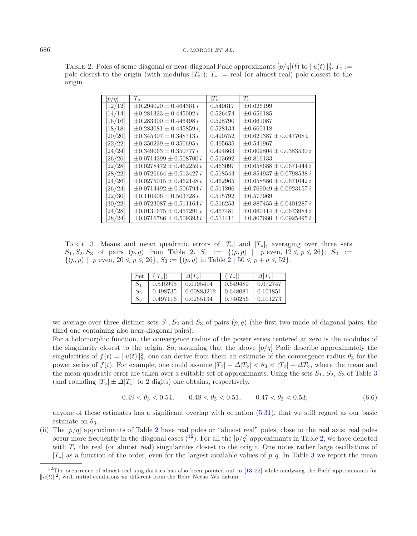#### <span id="page-23-0"></span>686 C. MOROSI *ET AL.*

TABLE 2. Poles of some diagonal or near-diagonal Padé approximants  $[p/q](t)$  to  $||u(t)||_3^2$ .  $T_0 :=$ pole closest to the origin (with modulus  $|T_{\circ}|$ );  $T_{*}$  := real (or almost real) pole closest to the origin.

<span id="page-23-1"></span>

| p/q                  | $T_{\circ}$                    | $ T_{\circ} $ | $T_*$                          |
|----------------------|--------------------------------|---------------|--------------------------------|
| 12/12                | $\pm 0.294020 \pm 0.464361 i$  | 0.549617      | $+0.626199$                    |
| [14/14]              | $\pm 0.281333 \pm 0.445002 i$  | 0.526474      | $\pm 0.656185$                 |
| [16/16]              | $\pm 0.283300 \pm 0.446498 i$  | 0.528790      | $+0.661087$                    |
| [18/18]              | $\pm 0.283081 \pm 0.445859 i$  | 0.528134      | $\pm 0.660118$                 |
| $\left[20/20\right]$ | $\pm 0.345307 \pm 0.348713 i$  | 0.490752      | $+0.621387 + 0.047708 i$       |
| [22/22]              | $\pm 0.350239 \pm 0.350695 i$  | 0.495635      | $+0.541967$                    |
| [24/24]              | $\pm 0.349063 \pm 0.350777 i$  | 0.494863      | $\pm 0.609804 \pm 0.0383530 i$ |
| $\left[26/26\right]$ | $\pm 0.0714399 \pm 0.508700 i$ | 0.513692      | $\pm 0.816133$                 |
| [22/28]              | $+0.0278472 + 0.462259 i$      | 0.463097      | $\pm 0.658688 \pm 0.0671444 i$ |
| [28/22]              | $\pm 0.0726664 \pm 0.513427 i$ | 0.518544      | $\pm 0.854937 \pm 0.0798538 i$ |
| $[24/26]$            | $\pm 0.0275015 \pm 0.462148 i$ | 0.462965      | $\pm 0.658586 \pm 0.0671042 i$ |
| $\left[26/24\right]$ | $\pm 0.0714492 \pm 0.506794 i$ | 0.511806      | $+0.769049 + 0.0923157i$       |
| $[22/30]$            | $\pm 0.110906 \pm 0.503728 i$  | 0.515792      | $+0.577969$                    |
| $\left[30/22\right]$ | $\pm 0.0723087 \pm 0.511164 i$ | 0.516253      | $\pm 0.887455 \pm 0.0401287 i$ |
| [24/28]              | $+0.0131675 + 0.457291 i$      | 0.457481      | $\pm 0.660114 \pm 0.0673984 i$ |
| 28/24                | $\pm 0.0716786 \pm 0.509393 i$ | 0.514411      | $\pm 0.807680 \pm 0.0925495 i$ |

TABLE 3. Means and mean quadratic errors of  $|T_{\circ}|$  and  $|T_{*}|$ , averaging over three sets  $S_1, S_2, S_3$  of pairs  $(p, q)$  from Table [2.](#page-23-0)  $S_1 := \{(p, p) | p \text{ even}, 12 \leq p \leq 26\}; S_2 :=$  $\{(p, p) \mid p \text{ even}, 20 \leq p \leq 26\}; S_3 := \{(p, q) \text{ in Table 2 } | 50 \leq p + q \leq 52\}.$  $\{(p, p) \mid p \text{ even}, 20 \leq p \leq 26\}; S_3 := \{(p, q) \text{ in Table 2 } | 50 \leq p + q \leq 52\}.$  $\{(p, p) \mid p \text{ even}, 20 \leq p \leq 26\}; S_3 := \{(p, q) \text{ in Table 2 } | 50 \leq p + q \leq 52\}.$ 

| Set     |          | $\Delta T_{\rm o}$ | $\langle T_*$ |          |
|---------|----------|--------------------|---------------|----------|
|         | 0.515995 | 0.0195414          | 0.649489      | 0.072747 |
| $S_2$   | 0.498735 | 0.00883212         | 0.648081      | 0.101851 |
| $S_{3}$ | 0.497116 | 0.0255134          | 0.746256      | 0.101273 |

we average over three distinct sets  $S_1, S_2$  and  $S_3$  of pairs  $(p, q)$  (the first two made of diagonal pairs, the third one containing also near-diagonal pairs).

<span id="page-23-2"></span>For a holomorphic function, the convergence radius of the power series centered at zero is the modulus of the singularity closest to the origin. So, assuming that the above  $[p/q]$  Padè describe approximately the singularities of  $f(t) = ||u(t)||_3^2$ , one can derive from them an estimate of the convergence radius  $\theta_3$  for the power series of  $f(t)$ . For example, one could assume  $|T_{\circ}| - \Delta |T_{\circ}| < \theta$ <sub>3</sub>  $\langle |T_{\circ}| + \Delta T_{\circ}$ , where the mean and the mean quadratic error are taken over a suitable set of approximants. Using the sets  $S_1$ ,  $S_2$ ,  $S_3$  $S_3$  of Table 3 (and rounding  $|T_{\circ}| \pm \Delta |T_{\circ}|$  to 2 digits) one obtains, respectively,

$$
0.49 < \theta_3 < 0.54, \qquad 0.48 < \theta_3 < 0.51, \qquad 0.47 < \theta_3 < 0.53; \tag{6.6}
$$

anyone of these estimates has a significant overlap with equation [\(5.31\)](#page-20-0), that we still regard as our basic estimate on  $\theta_3$ .

(ii) The  $[p/q]$  approximants of Table [2](#page-23-0) have real poles or "almost real" poles, close to the real axis; real poles occur more frequently in the diagonal cases  $(1^2)$ . For all the  $[p/q]$  approximants in Table [2,](#page-23-0) we have denoted with T<sup>∗</sup> the real (or almost real) singularities closest to the origin. One notes rather large oscillations of  $|T_*|$  as a function of the order, even for the largest available values of p, q. In Table [3](#page-23-1) we report the mean

<sup>&</sup>lt;sup>12</sup>The occurrence of almost real singularities has also been pointed out in [\[13,](#page-25-1) [22](#page-25-3)] while analyzing the Padé approximants for  $||u(t)||_1^2$ , with initial conditions  $u_0$  different from the Behr–Nečas–Wu datum.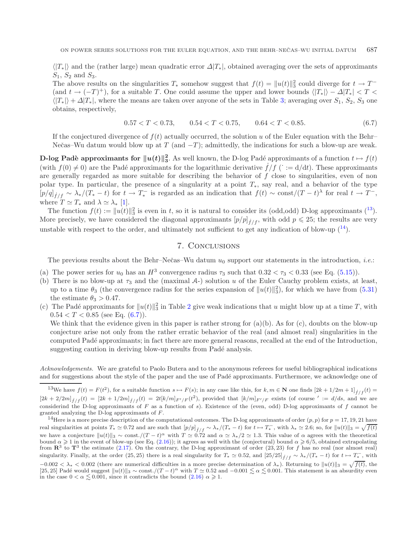<span id="page-24-0"></span> $\langle T_{*} \rangle$  and the (rather large) mean quadratic error  $\Delta |T_{*}|$ , obtained averaging over the sets of approximants  $S_1$ ,  $S_2$  and  $S_3$ .

The above results on the singularities  $T_*$  somehow suggest that  $f(t) = ||u(t)||_3^2$  could diverge for  $t \to T^-$ (and  $t \to (-T)^+$ ), for a suitable T. One could assume the upper and lower bounds  $\langle |T_*| \rangle - \Delta |T_*| < T <$  $\langle |T_{*}| \rangle + \Delta |T_{*}|$ , where the means are taken over anyone of the sets in Table [3;](#page-23-1) averaging over  $S_1$ ,  $S_2$ ,  $S_3$  one obtains, respectively,

$$
0.57 < T < 0.73, \qquad 0.54 < T < 0.75, \qquad 0.64 < T < 0.85. \tag{6.7}
$$

If the conjectured divergence of  $f(t)$  actually occurred, the solution u of the Euler equation with the Behr– Nečas–Wu datum would blow up at T (and  $-T$ ); admittedly, the indications for such a blow-up are weak.

**D-log Padè approximants for**  $||u(t)||_3^2$ **. As well known, the D-log Padé approximants of a function**  $t \mapsto f(t)$ (with  $f(0) \neq 0$ ) are the Padé approximants for the logarithmic derivative  $\dot{f}/f$  ( $\dot{f} = d/dt$ ). These approximants are generally regarded as more suitable for describing the behavior of  $f$  close to singularities, even of non polar type. In particular, the presence of a singularity at a point  $T_*$ , say real, and a behavior of the type  $[p/q]_{f/f} \sim \lambda_*/(T_* - t)$  for  $t \to T_*^-$  is regarded as an indication that  $f(t) \sim \text{const}/(T-t)$ <sup>λ</sup> for real  $t \to T^-$ , where  $T \simeq T_*$  and  $\lambda \simeq \lambda_*$  [\[1\]](#page-25-23).

The function  $f(t) := ||u(t)||_3^2$  is even in t, so it is natural to consider its (odd,odd) D-log approximants (<sup>[13](#page-24-1)</sup>). More precisely, we have considered the diagonal approximants  $[p/p]_{\dot{f}/f}$ , with odd  $p \leq 25$ ; the results are very unstable with respect to the order, and ultimately not sufficient to get any indication of blow-up  $(14)$  $(14)$  $(14)$ .

# 7. Conclusions

The previous results about the Behr–Nečas–Wu datum  $u_0$  support our statements in the introduction, *i.e.*:

- (a) The power series for  $u_0$  has an  $H^3$  convergence radius  $\tau_3$  such that  $0.32 < \tau_3 < 0.33$  (see Eq. [\(5.15\)](#page-15-1)).
- <span id="page-24-1"></span>(b) There is no blow-up at  $\tau_3$  and the (maximal A-) solution u of the Euler Cauchy problem exists, at least, up to a time  $\theta_3$  (the convergence radius for the series expansion of  $||u(t)||_3^2$ ), for which we have from  $(5.31)$ the estimate  $\theta_3 > 0.47$ .
- <span id="page-24-2"></span>(c) The Padé approximants for  $||u(t)||_3^2$  $||u(t)||_3^2$  in Table 2 give weak indications that u might blow up at a time T, with  $0.54 < T < 0.85$  (see Eq.  $(6.7)$ ).

We think that the evidence given in this paper is rather strong for (a)(b). As for (c), doubts on the blow-up conjecture arise not only from the rather erratic behavior of the real (and almost real) singularities in the computed Pad´e approximants; in fact there are more general reasons, recalled at the end of the Introduction, suggesting caution in deriving blow-up results from Padé analysis.

*Acknowledgements.* We are grateful to Paolo Butera and to the anonymous referees for useful bibliographical indications and for suggestions about the style of the paper and the use of Padé approximants. Furthermore, we acknowledge one of

<sup>13</sup>We have  $f(t) = F(t^2)$ , for a suitable function  $s \mapsto F(s)$ ; in any case like this, for  $k, m \in \mathbb{N}$  one finds  $[2k + 1/2m + 1]_{\hat{f}/f}(t) =$  $[2k+2/2m]_{\dot{f}/f}(t)=[2k+1/2m]_{\dot{f}/f}(t)=2t[k/m]_{F'/F}(t^2)$ , provided that  $[k/m]_{F'/F}$  exists (of course  $':=d/ds$ , and we are considerind the D-log approximants of  $F$  as a function of  $s$ ). Existence of the (even, odd) D-log approximants of  $f$  cannot be granted analyzing the D-log approximants of F.

<sup>14</sup>Here is a more precise description of the computational outcomes. The D-log approximants of order  $(p, p)$  for  $p = 17, 19, 21$  have real singularities at points  $T_* \simeq 0.72$  and are such that  $[p/p]_{\dot{f}/f} \sim \lambda_*/(T_* - t)$  for  $t \mapsto T_*^-$ , with  $\lambda_* \simeq 2.6$ ; so, for  $||u(t)||_3 = \sqrt{f(t)}$ we have a conjecture  $||u(t)||_3 \sim \text{const.}/(T-t)^\alpha$  with  $T \simeq 0.72$  and  $\alpha \simeq \lambda_*/2 \simeq 1.3$ . This value of  $\alpha$  agrees with the theoretical bound  $\alpha \geqslant 1$  in the event of blow-up (see Eq. [\(2.16\)](#page-5-3)); it agrees as well with the (conjectural) bound  $\alpha \geqslant 6/5$ , obtained extrapolating from  $\mathbb{R}^3$  to  $\mathbb{T}^3$  the estimate [\(2.17\)](#page-5-0). On the contrary, the D-log approximant of order (23, 23) for f has no real (nor almost real) singularity. Finally, at the order (25, 25) there is a real singularity for  $T_* \simeq 0.52$ , and  $[25/25]_{\dot{f}/f} \sim \lambda_*/(T_* - t)$  for  $t \mapsto T_*^-$ , with  $-0.002 < \lambda_* < 0.002$  (there are numerical difficulties in a more precise determination of  $\lambda_*$ ). Returning to  $||u(t)||_3 = \sqrt{f(t)}$ , the [25, 25] Padé would suggest  $||u(t)||_3 \sim \text{const.}/(T-t)^\alpha$  with  $T \simeq 0.52$  and  $-0.001 \lesssim \alpha \lesssim 0.001$ . This statement is an absurdity even in the case  $0 < \alpha \leq 0.001$ , since it contradicts the bound  $(2.16) \alpha \geq 1$  $(2.16) \alpha \geq 1$ .